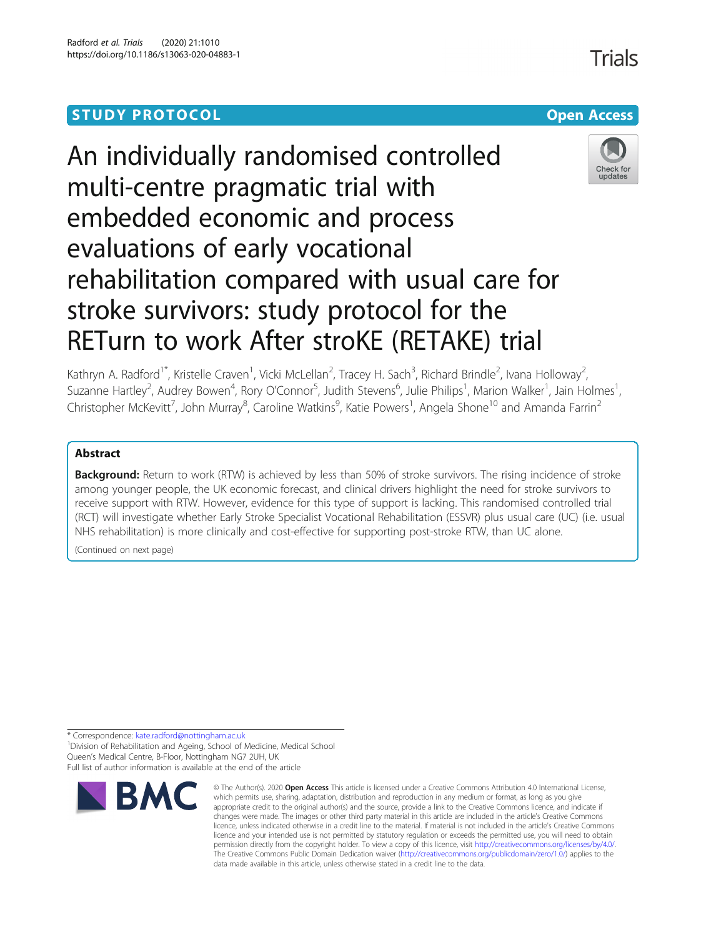## **STUDY PROTOCOL CONSUMING THE RESERVE ACCESS**

# An individually randomised controlled multi-centre pragmatic trial with embedded economic and process evaluations of early vocational rehabilitation compared with usual care for stroke survivors: study protocol for the RETurn to work After stroKE (RETAKE) trial



Kathryn A. Radford<sup>1\*</sup>, Kristelle Craven<sup>1</sup>, Vicki McLellan<sup>2</sup>, Tracey H. Sach<sup>3</sup>, Richard Brindle<sup>2</sup>, Ivana Holloway<sup>2</sup> , Suzanne Hartley<sup>2</sup>, Audrey Bowen<sup>4</sup>, Rory O'Connor<sup>5</sup>, Judith Stevens<sup>6</sup>, Julie Philips<sup>1</sup>, Marion Walker<sup>1</sup>, Jain Holmes<sup>1</sup> , Christopher McKevitt<sup>7</sup>, John Murray<sup>8</sup>, Caroline Watkins<sup>9</sup>, Katie Powers<sup>1</sup>, Angela Shone<sup>10</sup> and Amanda Farrin<sup>2</sup>

## Abstract

**Background:** Return to work (RTW) is achieved by less than 50% of stroke survivors. The rising incidence of stroke among younger people, the UK economic forecast, and clinical drivers highlight the need for stroke survivors to receive support with RTW. However, evidence for this type of support is lacking. This randomised controlled trial (RCT) will investigate whether Early Stroke Specialist Vocational Rehabilitation (ESSVR) plus usual care (UC) (i.e. usual NHS rehabilitation) is more clinically and cost-effective for supporting post-stroke RTW, than UC alone.

(Continued on next page)

\* Correspondence: [kate.radford@nottingham.ac.uk](mailto:kate.radford@nottingham.ac.uk) <sup>1</sup>

<sup>1</sup> Division of Rehabilitation and Ageing, School of Medicine, Medical School Queen's Medical Centre, B-Floor, Nottingham NG7 2UH, UK Full list of author information is available at the end of the article



<sup>©</sup> The Author(s), 2020 **Open Access** This article is licensed under a Creative Commons Attribution 4.0 International License, which permits use, sharing, adaptation, distribution and reproduction in any medium or format, as long as you give appropriate credit to the original author(s) and the source, provide a link to the Creative Commons licence, and indicate if changes were made. The images or other third party material in this article are included in the article's Creative Commons licence, unless indicated otherwise in a credit line to the material. If material is not included in the article's Creative Commons licence and your intended use is not permitted by statutory regulation or exceeds the permitted use, you will need to obtain permission directly from the copyright holder. To view a copy of this licence, visit [http://creativecommons.org/licenses/by/4.0/.](http://creativecommons.org/licenses/by/4.0/) The Creative Commons Public Domain Dedication waiver [\(http://creativecommons.org/publicdomain/zero/1.0/](http://creativecommons.org/publicdomain/zero/1.0/)) applies to the data made available in this article, unless otherwise stated in a credit line to the data.

Trials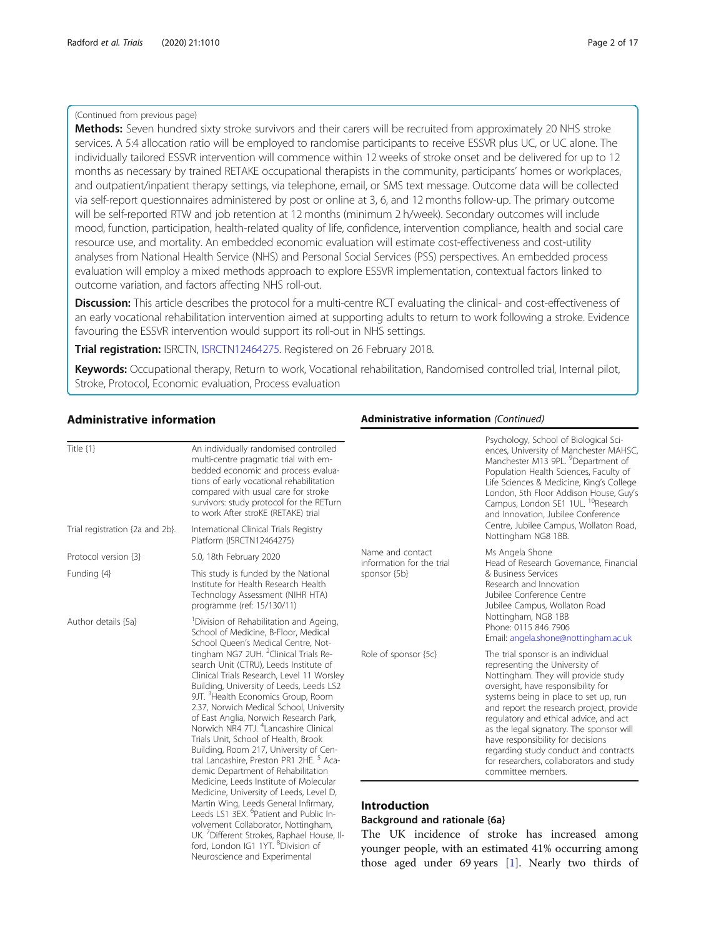## (Continued from previous page)

Methods: Seven hundred sixty stroke survivors and their carers will be recruited from approximately 20 NHS stroke services. A 5:4 allocation ratio will be employed to randomise participants to receive ESSVR plus UC, or UC alone. The individually tailored ESSVR intervention will commence within 12 weeks of stroke onset and be delivered for up to 12 months as necessary by trained RETAKE occupational therapists in the community, participants' homes or workplaces, and outpatient/inpatient therapy settings, via telephone, email, or SMS text message. Outcome data will be collected via self-report questionnaires administered by post or online at 3, 6, and 12 months follow-up. The primary outcome will be self-reported RTW and job retention at 12 months (minimum 2 h/week). Secondary outcomes will include mood, function, participation, health-related quality of life, confidence, intervention compliance, health and social care resource use, and mortality. An embedded economic evaluation will estimate cost-effectiveness and cost-utility analyses from National Health Service (NHS) and Personal Social Services (PSS) perspectives. An embedded process evaluation will employ a mixed methods approach to explore ESSVR implementation, contextual factors linked to outcome variation, and factors affecting NHS roll-out.

Discussion: This article describes the protocol for a multi-centre RCT evaluating the clinical- and cost-effectiveness of an early vocational rehabilitation intervention aimed at supporting adults to return to work following a stroke. Evidence favouring the ESSVR intervention would support its roll-out in NHS settings.

Trial registration: ISRCTN, [ISRCTN12464275.](http://www.isrctn.com/ISRCTN12464275) Registered on 26 February 2018.

Keywords: Occupational therapy, Return to work, Vocational rehabilitation, Randomised controlled trial, Internal pilot, Stroke, Protocol, Economic evaluation, Process evaluation

## Administrative information

| Title $\{1\}$                   | An individually randomised controlled<br>multi-centre pragmatic trial with em-<br>bedded economic and process evalua-<br>tions of early vocational rehabilitation<br>compared with usual care for stroke<br>survivors: study protocol for the RETurn<br>to work After stroKE (RETAKE) trial                                                                                                                                                                                                                                                                                                                                                                                                                                                                                                                                                                                                                                                                                                                                                                         |                                                                                   |  |
|---------------------------------|---------------------------------------------------------------------------------------------------------------------------------------------------------------------------------------------------------------------------------------------------------------------------------------------------------------------------------------------------------------------------------------------------------------------------------------------------------------------------------------------------------------------------------------------------------------------------------------------------------------------------------------------------------------------------------------------------------------------------------------------------------------------------------------------------------------------------------------------------------------------------------------------------------------------------------------------------------------------------------------------------------------------------------------------------------------------|-----------------------------------------------------------------------------------|--|
| Trial registration {2a and 2b}. | International Clinical Trials Registry<br>Platform (ISRCTN12464275)                                                                                                                                                                                                                                                                                                                                                                                                                                                                                                                                                                                                                                                                                                                                                                                                                                                                                                                                                                                                 |                                                                                   |  |
| Protocol version {3}            | 5.0, 18th February 2020                                                                                                                                                                                                                                                                                                                                                                                                                                                                                                                                                                                                                                                                                                                                                                                                                                                                                                                                                                                                                                             | Name and c<br>information                                                         |  |
| Funding {4}                     | This study is funded by the National<br>Institute for Health Research Health<br>Technology Assessment (NIHR HTA)<br>programme (ref: 15/130/11)                                                                                                                                                                                                                                                                                                                                                                                                                                                                                                                                                                                                                                                                                                                                                                                                                                                                                                                      | sponsor {5b}                                                                      |  |
| Author details {5a}             | 'Division of Rehabilitation and Ageing,<br>School of Medicine, B-Floor, Medical<br>School Queen's Medical Centre, Not-<br>tingham NG7 2UH. <sup>2</sup> Clinical Trials Re-<br>search Unit (CTRU), Leeds Institute of<br>Clinical Trials Research, Level 11 Worsley<br>Building, University of Leeds, Leeds LS2<br>9JT. <sup>3</sup> Health Economics Group, Room<br>2.37, Norwich Medical School, University<br>of East Anglia, Norwich Research Park,<br>Norwich NR4 7TJ. <sup>4</sup> Lancashire Clinical<br>Trials Unit, School of Health, Brook<br>Building, Room 217, University of Cen-<br>tral Lancashire, Preston PR1 2HE. <sup>5</sup> Aca-<br>demic Department of Rehabilitation<br>Medicine, Leeds Institute of Molecular<br>Medicine, University of Leeds, Level D,<br>Martin Wing, Leeds General Infirmary,<br>Leeds LS1 3EX. <sup>6</sup> Patient and Public In-<br>volvement Collaborator, Nottingham,<br>UK. <sup>7</sup> Different Strokes, Raphael House, Il-<br>ford, London IG1 1YT. <sup>8</sup> Division of<br>Neuroscience and Experimental | Role of spor<br><b>Introduc</b><br><b>Backgrour</b><br>The UK<br>younger p<br>41. |  |

## Administrative information (Continued)

|                                                               | Psychology, School of Biological Sci-<br>ences, University of Manchester MAHSC,<br>Manchester M13 9PL. <sup>9</sup> Department of<br>Population Health Sciences, Faculty of<br>Life Sciences & Medicine, King's College<br>London, 5th Floor Addison House, Guy's<br>Campus, London SE1 1UL. <sup>10</sup> Research<br>and Innovation, Jubilee Conference<br>Centre, Jubilee Campus, Wollaton Road,<br>Nottingham NG8 1BB.                                                   |
|---------------------------------------------------------------|------------------------------------------------------------------------------------------------------------------------------------------------------------------------------------------------------------------------------------------------------------------------------------------------------------------------------------------------------------------------------------------------------------------------------------------------------------------------------|
| Name and contact<br>information for the trial<br>sponsor {5b} | Ms Angela Shone<br>Head of Research Governance, Financial<br>& Business Services<br>Research and Innovation<br>Jubilee Conference Centre<br>Jubilee Campus, Wollaton Road<br>Nottingham, NG8 1BB<br>Phone: 0115 846 7906<br>Email: angela.shone@nottingham.ac.uk                                                                                                                                                                                                             |
| Role of sponsor {5c}                                          | The trial sponsor is an individual<br>representing the University of<br>Nottingham. They will provide study<br>oversight, have responsibility for<br>systems being in place to set up, run<br>and report the research project, provide<br>regulatory and ethical advice, and act<br>as the legal signatory. The sponsor will<br>have responsibility for decisions<br>regarding study conduct and contracts<br>for researchers, collaborators and study<br>committee members. |

#### duction

#### round and rationale {6a}

UK incidence of stroke has increased among er people, with an estimated 41% occurring among those aged under 69 years [[1\]](#page-14-0). Nearly two thirds of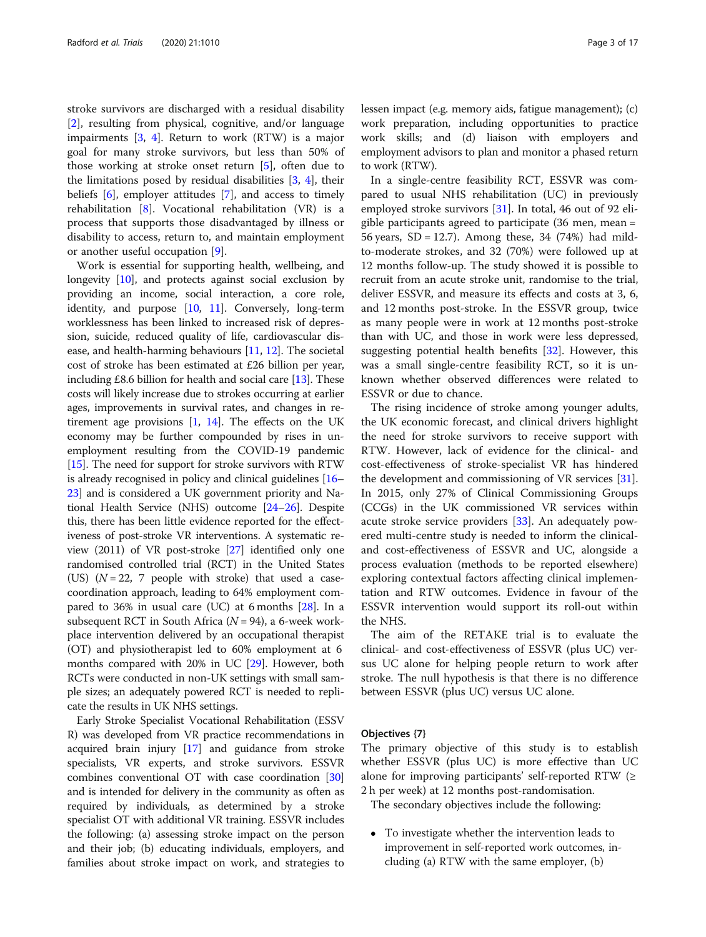stroke survivors are discharged with a residual disability [[2\]](#page-14-0), resulting from physical, cognitive, and/or language impairments [\[3,](#page-14-0) [4\]](#page-14-0). Return to work (RTW) is a major goal for many stroke survivors, but less than 50% of those working at stroke onset return [\[5](#page-14-0)], often due to the limitations posed by residual disabilities [[3](#page-14-0), [4](#page-14-0)], their beliefs [[6\]](#page-14-0), employer attitudes [\[7](#page-14-0)], and access to timely rehabilitation [[8\]](#page-14-0). Vocational rehabilitation (VR) is a process that supports those disadvantaged by illness or disability to access, return to, and maintain employment or another useful occupation [\[9](#page-14-0)].

Work is essential for supporting health, wellbeing, and longevity [\[10\]](#page-14-0), and protects against social exclusion by providing an income, social interaction, a core role, identity, and purpose [\[10](#page-14-0), [11](#page-15-0)]. Conversely, long-term worklessness has been linked to increased risk of depression, suicide, reduced quality of life, cardiovascular disease, and health-harming behaviours [[11](#page-15-0), [12\]](#page-15-0). The societal cost of stroke has been estimated at £26 billion per year, including  $£8.6$  billion for health and social care [\[13\]](#page-15-0). These costs will likely increase due to strokes occurring at earlier ages, improvements in survival rates, and changes in retirement age provisions  $[1, 14]$  $[1, 14]$  $[1, 14]$ . The effects on the UK economy may be further compounded by rises in unemployment resulting from the COVID-19 pandemic [[15](#page-15-0)]. The need for support for stroke survivors with RTW is already recognised in policy and clinical guidelines [\[16](#page-15-0)– [23](#page-15-0)] and is considered a UK government priority and National Health Service (NHS) outcome [[24](#page-15-0)–[26](#page-15-0)]. Despite this, there has been little evidence reported for the effectiveness of post-stroke VR interventions. A systematic review (2011) of VR post-stroke [\[27](#page-15-0)] identified only one randomised controlled trial (RCT) in the United States (US)  $(N = 22, 7$  people with stroke) that used a casecoordination approach, leading to 64% employment compared to 36% in usual care (UC) at 6 months [\[28](#page-15-0)]. In a subsequent RCT in South Africa ( $N = 94$ ), a 6-week workplace intervention delivered by an occupational therapist (OT) and physiotherapist led to 60% employment at 6 months compared with 20% in UC [[29\]](#page-15-0). However, both RCTs were conducted in non-UK settings with small sample sizes; an adequately powered RCT is needed to replicate the results in UK NHS settings.

Early Stroke Specialist Vocational Rehabilitation (ESSV R) was developed from VR practice recommendations in acquired brain injury [[17](#page-15-0)] and guidance from stroke specialists, VR experts, and stroke survivors. ESSVR combines conventional OT with case coordination [[30](#page-15-0)] and is intended for delivery in the community as often as required by individuals, as determined by a stroke specialist OT with additional VR training. ESSVR includes the following: (a) assessing stroke impact on the person and their job; (b) educating individuals, employers, and families about stroke impact on work, and strategies to lessen impact (e.g. memory aids, fatigue management); (c) work preparation, including opportunities to practice work skills; and (d) liaison with employers and employment advisors to plan and monitor a phased return to work (RTW).

In a single-centre feasibility RCT, ESSVR was compared to usual NHS rehabilitation (UC) in previously employed stroke survivors [[31](#page-15-0)]. In total, 46 out of 92 eligible participants agreed to participate (36 men, mean = 56 years,  $SD = 12.7$ ). Among these, 34 (74%) had mildto-moderate strokes, and 32 (70%) were followed up at 12 months follow-up. The study showed it is possible to recruit from an acute stroke unit, randomise to the trial, deliver ESSVR, and measure its effects and costs at 3, 6, and 12 months post-stroke. In the ESSVR group, twice as many people were in work at 12 months post-stroke than with UC, and those in work were less depressed, suggesting potential health benefits [\[32\]](#page-15-0). However, this was a small single-centre feasibility RCT, so it is unknown whether observed differences were related to ESSVR or due to chance.

The rising incidence of stroke among younger adults, the UK economic forecast, and clinical drivers highlight the need for stroke survivors to receive support with RTW. However, lack of evidence for the clinical- and cost-effectiveness of stroke-specialist VR has hindered the development and commissioning of VR services [\[31](#page-15-0)]. In 2015, only 27% of Clinical Commissioning Groups (CCGs) in the UK commissioned VR services within acute stroke service providers [[33](#page-15-0)]. An adequately powered multi-centre study is needed to inform the clinicaland cost-effectiveness of ESSVR and UC, alongside a process evaluation (methods to be reported elsewhere) exploring contextual factors affecting clinical implementation and RTW outcomes. Evidence in favour of the ESSVR intervention would support its roll-out within the NHS.

The aim of the RETAKE trial is to evaluate the clinical- and cost-effectiveness of ESSVR (plus UC) versus UC alone for helping people return to work after stroke. The null hypothesis is that there is no difference between ESSVR (plus UC) versus UC alone.

#### Objectives {7}

The primary objective of this study is to establish whether ESSVR (plus UC) is more effective than UC alone for improving participants' self-reported RTW (≥ 2 h per week) at 12 months post-randomisation.

The secondary objectives include the following:

 To investigate whether the intervention leads to improvement in self-reported work outcomes, including (a) RTW with the same employer, (b)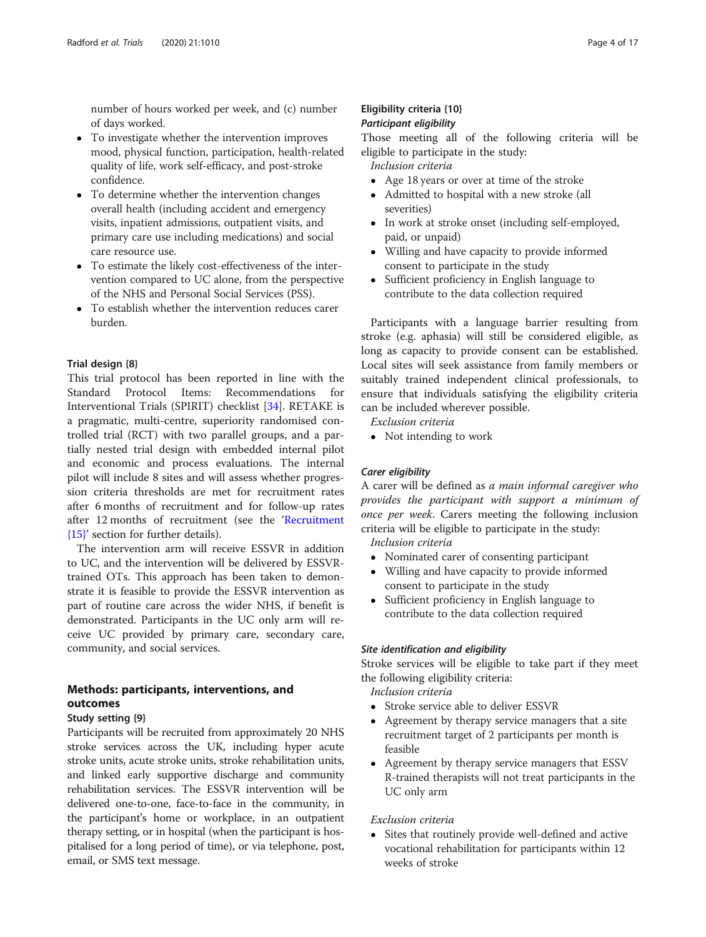number of hours worked per week, and (c) number of days worked.

- To investigate whether the intervention improves mood, physical function, participation, health-related quality of life, work self-efficacy, and post-stroke confidence.
- To determine whether the intervention changes overall health (including accident and emergency visits, inpatient admissions, outpatient visits, and primary care use including medications) and social care resource use.
- To estimate the likely cost-effectiveness of the intervention compared to UC alone, from the perspective of the NHS and Personal Social Services (PSS).
- To establish whether the intervention reduces carer burden.

#### Trial design {8}

This trial protocol has been reported in line with the Standard Protocol Items: Recommendations for Interventional Trials (SPIRIT) checklist [\[34](#page-15-0)]. RETAKE is a pragmatic, multi-centre, superiority randomised controlled trial (RCT) with two parallel groups, and a partially nested trial design with embedded internal pilot and economic and process evaluations. The internal pilot will include 8 sites and will assess whether progression criteria thresholds are met for recruitment rates after 6 months of recruitment and for follow-up rates after 12 months of recruitment (see the '[Recruitment](#page-6-0) [{15}](#page-6-0)' section for further details).

The intervention arm will receive ESSVR in addition to UC, and the intervention will be delivered by ESSVRtrained OTs. This approach has been taken to demonstrate it is feasible to provide the ESSVR intervention as part of routine care across the wider NHS, if benefit is demonstrated. Participants in the UC only arm will receive UC provided by primary care, secondary care, community, and social services.

## Methods: participants, interventions, and outcomes

## Study setting {9}

Participants will be recruited from approximately 20 NHS stroke services across the UK, including hyper acute stroke units, acute stroke units, stroke rehabilitation units, and linked early supportive discharge and community rehabilitation services. The ESSVR intervention will be delivered one-to-one, face-to-face in the community, in the participant's home or workplace, in an outpatient therapy setting, or in hospital (when the participant is hospitalised for a long period of time), or via telephone, post, email, or SMS text message.

## Eligibility criteria {10} Participant eligibility

Those meeting all of the following criteria will be eligible to participate in the study:

Inclusion criteria

- Age 18 years or over at time of the stroke
- Admitted to hospital with a new stroke (all severities)
- In work at stroke onset (including self-employed, paid, or unpaid)
- Willing and have capacity to provide informed consent to participate in the study
- Sufficient proficiency in English language to contribute to the data collection required

Participants with a language barrier resulting from stroke (e.g. aphasia) will still be considered eligible, as long as capacity to provide consent can be established. Local sites will seek assistance from family members or suitably trained independent clinical professionals, to ensure that individuals satisfying the eligibility criteria can be included wherever possible.

Exclusion criteria

• Not intending to work

#### Carer eligibility

A carer will be defined as a main informal caregiver who provides the participant with support a minimum of once per week. Carers meeting the following inclusion criteria will be eligible to participate in the study:

Inclusion criteria

- Nominated carer of consenting participant
- Willing and have capacity to provide informed consent to participate in the study
- Sufficient proficiency in English language to contribute to the data collection required

#### Site identification and eligibility

Stroke services will be eligible to take part if they meet the following eligibility criteria:

Inclusion criteria

- Stroke service able to deliver ESSVR
- Agreement by therapy service managers that a site recruitment target of 2 participants per month is feasible
- Agreement by therapy service managers that ESSV R-trained therapists will not treat participants in the UC only arm

#### Exclusion criteria

 Sites that routinely provide well-defined and active vocational rehabilitation for participants within 12 weeks of stroke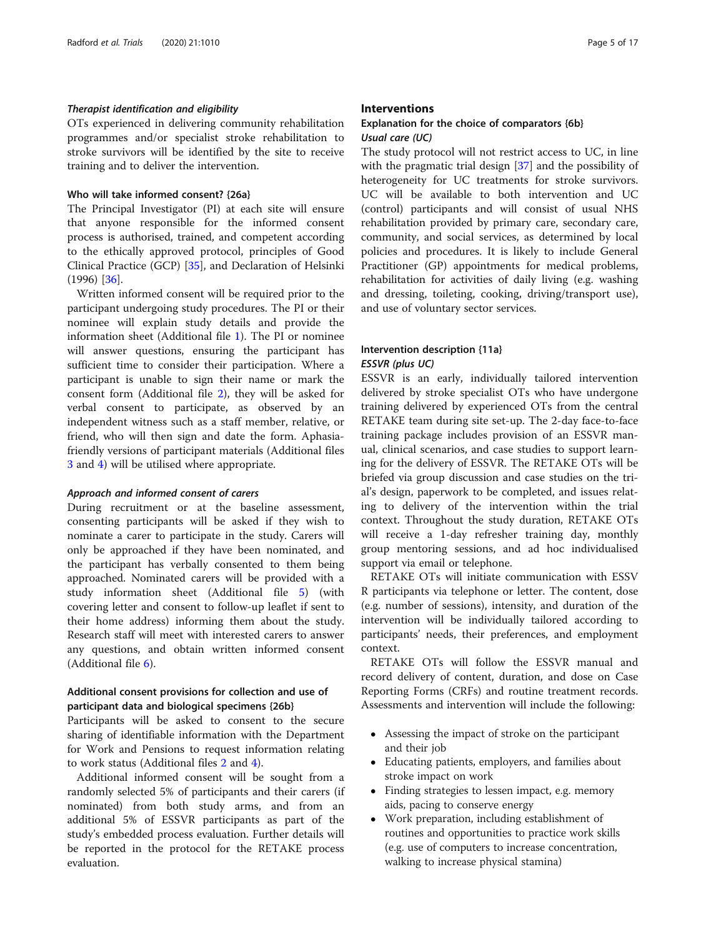#### Therapist identification and eligibility

OTs experienced in delivering community rehabilitation programmes and/or specialist stroke rehabilitation to stroke survivors will be identified by the site to receive training and to deliver the intervention.

#### Who will take informed consent? {26a}

The Principal Investigator (PI) at each site will ensure that anyone responsible for the informed consent process is authorised, trained, and competent according to the ethically approved protocol, principles of Good Clinical Practice (GCP) [[35\]](#page-15-0), and Declaration of Helsinki (1996) [[36\]](#page-15-0).

Written informed consent will be required prior to the participant undergoing study procedures. The PI or their nominee will explain study details and provide the information sheet (Additional file [1\)](#page-14-0). The PI or nominee will answer questions, ensuring the participant has sufficient time to consider their participation. Where a participant is unable to sign their name or mark the consent form (Additional file [2\)](#page-14-0), they will be asked for verbal consent to participate, as observed by an independent witness such as a staff member, relative, or friend, who will then sign and date the form. Aphasiafriendly versions of participant materials (Additional files [3](#page-14-0) and [4](#page-14-0)) will be utilised where appropriate.

#### Approach and informed consent of carers

During recruitment or at the baseline assessment, consenting participants will be asked if they wish to nominate a carer to participate in the study. Carers will only be approached if they have been nominated, and the participant has verbally consented to them being approached. Nominated carers will be provided with a study information sheet (Additional file [5](#page-14-0)) (with covering letter and consent to follow-up leaflet if sent to their home address) informing them about the study. Research staff will meet with interested carers to answer any questions, and obtain written informed consent (Additional file [6](#page-14-0)).

## Additional consent provisions for collection and use of participant data and biological specimens {26b}

Participants will be asked to consent to the secure sharing of identifiable information with the Department for Work and Pensions to request information relating to work status (Additional files [2](#page-14-0) and [4](#page-14-0)).

Additional informed consent will be sought from a randomly selected 5% of participants and their carers (if nominated) from both study arms, and from an additional 5% of ESSVR participants as part of the study's embedded process evaluation. Further details will be reported in the protocol for the RETAKE process evaluation.

#### Interventions

## Explanation for the choice of comparators {6b} Usual care (UC)

The study protocol will not restrict access to UC, in line with the pragmatic trial design [[37\]](#page-15-0) and the possibility of heterogeneity for UC treatments for stroke survivors. UC will be available to both intervention and UC (control) participants and will consist of usual NHS rehabilitation provided by primary care, secondary care, community, and social services, as determined by local policies and procedures. It is likely to include General Practitioner (GP) appointments for medical problems, rehabilitation for activities of daily living (e.g. washing and dressing, toileting, cooking, driving/transport use), and use of voluntary sector services.

#### Intervention description {11a} ESSVR (plus UC)

ESSVR is an early, individually tailored intervention delivered by stroke specialist OTs who have undergone training delivered by experienced OTs from the central RETAKE team during site set-up. The 2-day face-to-face training package includes provision of an ESSVR manual, clinical scenarios, and case studies to support learning for the delivery of ESSVR. The RETAKE OTs will be briefed via group discussion and case studies on the trial's design, paperwork to be completed, and issues relating to delivery of the intervention within the trial context. Throughout the study duration, RETAKE OTs will receive a 1-day refresher training day, monthly group mentoring sessions, and ad hoc individualised support via email or telephone.

RETAKE OTs will initiate communication with ESSV R participants via telephone or letter. The content, dose (e.g. number of sessions), intensity, and duration of the intervention will be individually tailored according to participants' needs, their preferences, and employment context.

RETAKE OTs will follow the ESSVR manual and record delivery of content, duration, and dose on Case Reporting Forms (CRFs) and routine treatment records. Assessments and intervention will include the following:

- Assessing the impact of stroke on the participant and their job
- Educating patients, employers, and families about stroke impact on work
- Finding strategies to lessen impact, e.g. memory aids, pacing to conserve energy
- Work preparation, including establishment of routines and opportunities to practice work skills (e.g. use of computers to increase concentration, walking to increase physical stamina)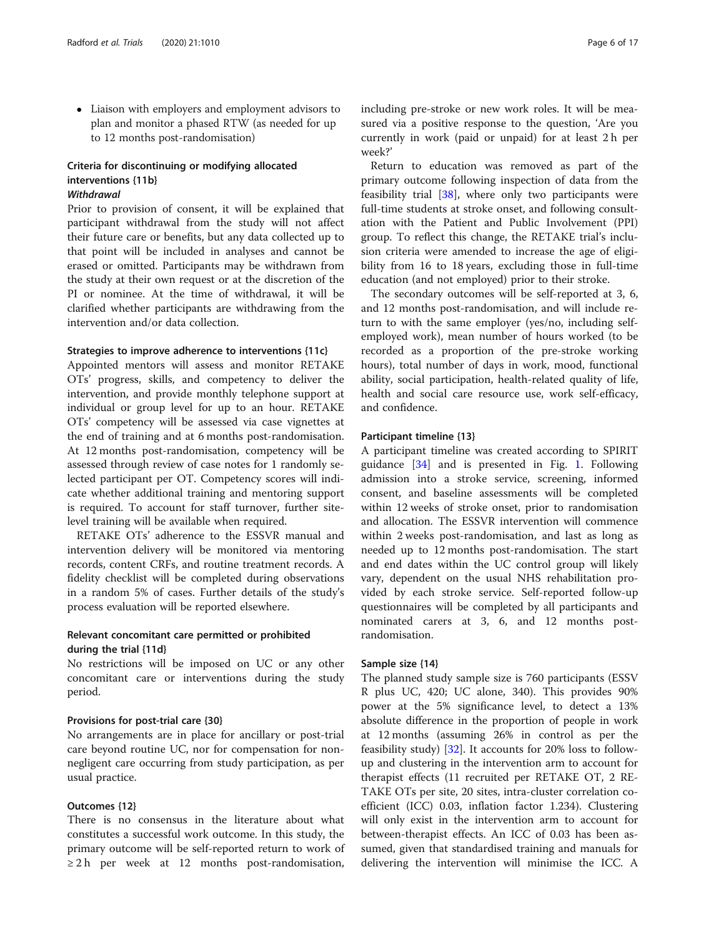Liaison with employers and employment advisors to plan and monitor a phased RTW (as needed for up to 12 months post-randomisation)

## Criteria for discontinuing or modifying allocated interventions {11b}

## **Withdrawal**

Prior to provision of consent, it will be explained that participant withdrawal from the study will not affect their future care or benefits, but any data collected up to that point will be included in analyses and cannot be erased or omitted. Participants may be withdrawn from the study at their own request or at the discretion of the PI or nominee. At the time of withdrawal, it will be clarified whether participants are withdrawing from the intervention and/or data collection.

#### Strategies to improve adherence to interventions {11c}

Appointed mentors will assess and monitor RETAKE OTs' progress, skills, and competency to deliver the intervention, and provide monthly telephone support at individual or group level for up to an hour. RETAKE OTs' competency will be assessed via case vignettes at the end of training and at 6 months post-randomisation. At 12 months post-randomisation, competency will be assessed through review of case notes for 1 randomly selected participant per OT. Competency scores will indicate whether additional training and mentoring support is required. To account for staff turnover, further sitelevel training will be available when required.

RETAKE OTs' adherence to the ESSVR manual and intervention delivery will be monitored via mentoring records, content CRFs, and routine treatment records. A fidelity checklist will be completed during observations in a random 5% of cases. Further details of the study's process evaluation will be reported elsewhere.

## Relevant concomitant care permitted or prohibited during the trial {11d}

No restrictions will be imposed on UC or any other concomitant care or interventions during the study period.

#### Provisions for post-trial care {30}

No arrangements are in place for ancillary or post-trial care beyond routine UC, nor for compensation for nonnegligent care occurring from study participation, as per usual practice.

#### Outcomes {12}

There is no consensus in the literature about what constitutes a successful work outcome. In this study, the primary outcome will be self-reported return to work of  $\geq$  2 h per week at 12 months post-randomisation,

Return to education was removed as part of the primary outcome following inspection of data from the feasibility trial [[38\]](#page-15-0), where only two participants were full-time students at stroke onset, and following consultation with the Patient and Public Involvement (PPI) group. To reflect this change, the RETAKE trial's inclusion criteria were amended to increase the age of eligibility from 16 to 18 years, excluding those in full-time education (and not employed) prior to their stroke.

The secondary outcomes will be self-reported at 3, 6, and 12 months post-randomisation, and will include return to with the same employer (yes/no, including selfemployed work), mean number of hours worked (to be recorded as a proportion of the pre-stroke working hours), total number of days in work, mood, functional ability, social participation, health-related quality of life, health and social care resource use, work self-efficacy, and confidence.

#### Participant timeline {13}

A participant timeline was created according to SPIRIT guidance [[34](#page-15-0)] and is presented in Fig. [1](#page-6-0). Following admission into a stroke service, screening, informed consent, and baseline assessments will be completed within 12 weeks of stroke onset, prior to randomisation and allocation. The ESSVR intervention will commence within 2 weeks post-randomisation, and last as long as needed up to 12 months post-randomisation. The start and end dates within the UC control group will likely vary, dependent on the usual NHS rehabilitation provided by each stroke service. Self-reported follow-up questionnaires will be completed by all participants and nominated carers at 3, 6, and 12 months postrandomisation.

#### Sample size {14}

The planned study sample size is 760 participants (ESSV R plus UC, 420; UC alone, 340). This provides 90% power at the 5% significance level, to detect a 13% absolute difference in the proportion of people in work at 12 months (assuming 26% in control as per the feasibility study) [[32\]](#page-15-0). It accounts for 20% loss to followup and clustering in the intervention arm to account for therapist effects (11 recruited per RETAKE OT, 2 RE-TAKE OTs per site, 20 sites, intra-cluster correlation coefficient (ICC) 0.03, inflation factor 1.234). Clustering will only exist in the intervention arm to account for between-therapist effects. An ICC of 0.03 has been assumed, given that standardised training and manuals for delivering the intervention will minimise the ICC. A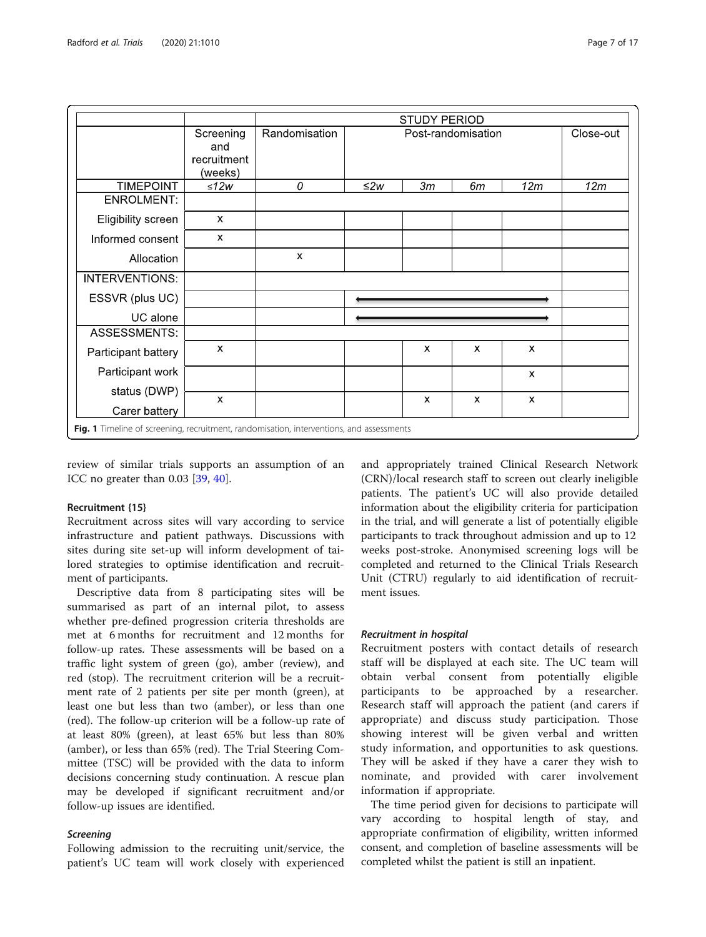<span id="page-6-0"></span>

review of similar trials supports an assumption of an ICC no greater than 0.03 [\[39](#page-15-0), [40\]](#page-15-0).

## Recruitment {15}

Recruitment across sites will vary according to service infrastructure and patient pathways. Discussions with sites during site set-up will inform development of tailored strategies to optimise identification and recruitment of participants.

Descriptive data from 8 participating sites will be summarised as part of an internal pilot, to assess whether pre-defined progression criteria thresholds are met at 6 months for recruitment and 12 months for follow-up rates. These assessments will be based on a traffic light system of green (go), amber (review), and red (stop). The recruitment criterion will be a recruitment rate of 2 patients per site per month (green), at least one but less than two (amber), or less than one (red). The follow-up criterion will be a follow-up rate of at least 80% (green), at least 65% but less than 80% (amber), or less than 65% (red). The Trial Steering Committee (TSC) will be provided with the data to inform decisions concerning study continuation. A rescue plan may be developed if significant recruitment and/or follow-up issues are identified.

#### Screening

Following admission to the recruiting unit/service, the patient's UC team will work closely with experienced

and appropriately trained Clinical Research Network (CRN)/local research staff to screen out clearly ineligible patients. The patient's UC will also provide detailed information about the eligibility criteria for participation in the trial, and will generate a list of potentially eligible participants to track throughout admission and up to 12 weeks post-stroke. Anonymised screening logs will be completed and returned to the Clinical Trials Research Unit (CTRU) regularly to aid identification of recruitment issues.

#### Recruitment in hospital

Recruitment posters with contact details of research staff will be displayed at each site. The UC team will obtain verbal consent from potentially eligible participants to be approached by a researcher. Research staff will approach the patient (and carers if appropriate) and discuss study participation. Those showing interest will be given verbal and written study information, and opportunities to ask questions. They will be asked if they have a carer they wish to nominate, and provided with carer involvement information if appropriate.

The time period given for decisions to participate will vary according to hospital length of stay, and appropriate confirmation of eligibility, written informed consent, and completion of baseline assessments will be completed whilst the patient is still an inpatient.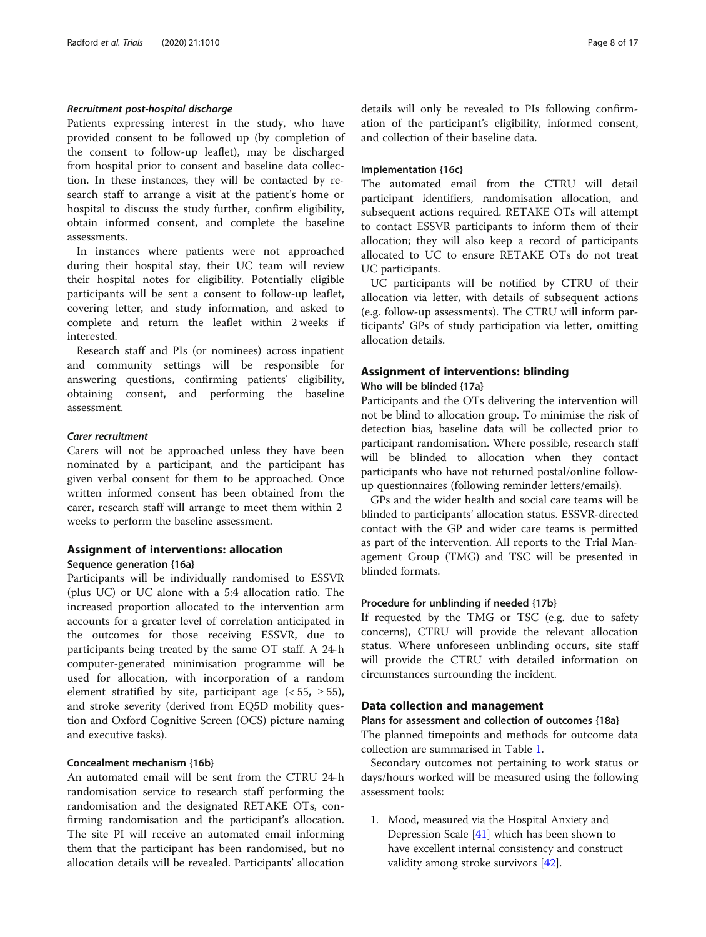#### Recruitment post-hospital discharge

Patients expressing interest in the study, who have provided consent to be followed up (by completion of the consent to follow-up leaflet), may be discharged from hospital prior to consent and baseline data collection. In these instances, they will be contacted by research staff to arrange a visit at the patient's home or hospital to discuss the study further, confirm eligibility, obtain informed consent, and complete the baseline assessments.

In instances where patients were not approached during their hospital stay, their UC team will review their hospital notes for eligibility. Potentially eligible participants will be sent a consent to follow-up leaflet, covering letter, and study information, and asked to complete and return the leaflet within 2 weeks if interested.

Research staff and PIs (or nominees) across inpatient and community settings will be responsible for answering questions, confirming patients' eligibility, obtaining consent, and performing the baseline assessment.

#### Carer recruitment

Carers will not be approached unless they have been nominated by a participant, and the participant has given verbal consent for them to be approached. Once written informed consent has been obtained from the carer, research staff will arrange to meet them within 2 weeks to perform the baseline assessment.

## Assignment of interventions: allocation Sequence generation {16a}

Participants will be individually randomised to ESSVR (plus UC) or UC alone with a 5:4 allocation ratio. The increased proportion allocated to the intervention arm accounts for a greater level of correlation anticipated in the outcomes for those receiving ESSVR, due to participants being treated by the same OT staff. A 24-h computer-generated minimisation programme will be used for allocation, with incorporation of a random element stratified by site, participant age  $(< 55, > 55)$ , and stroke severity (derived from EQ5D mobility question and Oxford Cognitive Screen (OCS) picture naming and executive tasks).

## Concealment mechanism {16b}

An automated email will be sent from the CTRU 24-h randomisation service to research staff performing the randomisation and the designated RETAKE OTs, confirming randomisation and the participant's allocation. The site PI will receive an automated email informing them that the participant has been randomised, but no allocation details will be revealed. Participants' allocation details will only be revealed to PIs following confirmation of the participant's eligibility, informed consent, and collection of their baseline data.

#### Implementation {16c}

The automated email from the CTRU will detail participant identifiers, randomisation allocation, and subsequent actions required. RETAKE OTs will attempt to contact ESSVR participants to inform them of their allocation; they will also keep a record of participants allocated to UC to ensure RETAKE OTs do not treat UC participants.

UC participants will be notified by CTRU of their allocation via letter, with details of subsequent actions (e.g. follow-up assessments). The CTRU will inform participants' GPs of study participation via letter, omitting allocation details.

## Assignment of interventions: blinding

## Who will be blinded {17a}

Participants and the OTs delivering the intervention will not be blind to allocation group. To minimise the risk of detection bias, baseline data will be collected prior to participant randomisation. Where possible, research staff will be blinded to allocation when they contact participants who have not returned postal/online followup questionnaires (following reminder letters/emails).

GPs and the wider health and social care teams will be blinded to participants' allocation status. ESSVR-directed contact with the GP and wider care teams is permitted as part of the intervention. All reports to the Trial Management Group (TMG) and TSC will be presented in blinded formats.

#### Procedure for unblinding if needed {17b}

If requested by the TMG or TSC (e.g. due to safety concerns), CTRU will provide the relevant allocation status. Where unforeseen unblinding occurs, site staff will provide the CTRU with detailed information on circumstances surrounding the incident.

## Data collection and management

## Plans for assessment and collection of outcomes {18a}

The planned timepoints and methods for outcome data collection are summarised in Table [1.](#page-8-0)

Secondary outcomes not pertaining to work status or days/hours worked will be measured using the following assessment tools:

1. Mood, measured via the Hospital Anxiety and Depression Scale [\[41\]](#page-15-0) which has been shown to have excellent internal consistency and construct validity among stroke survivors [\[42\]](#page-15-0).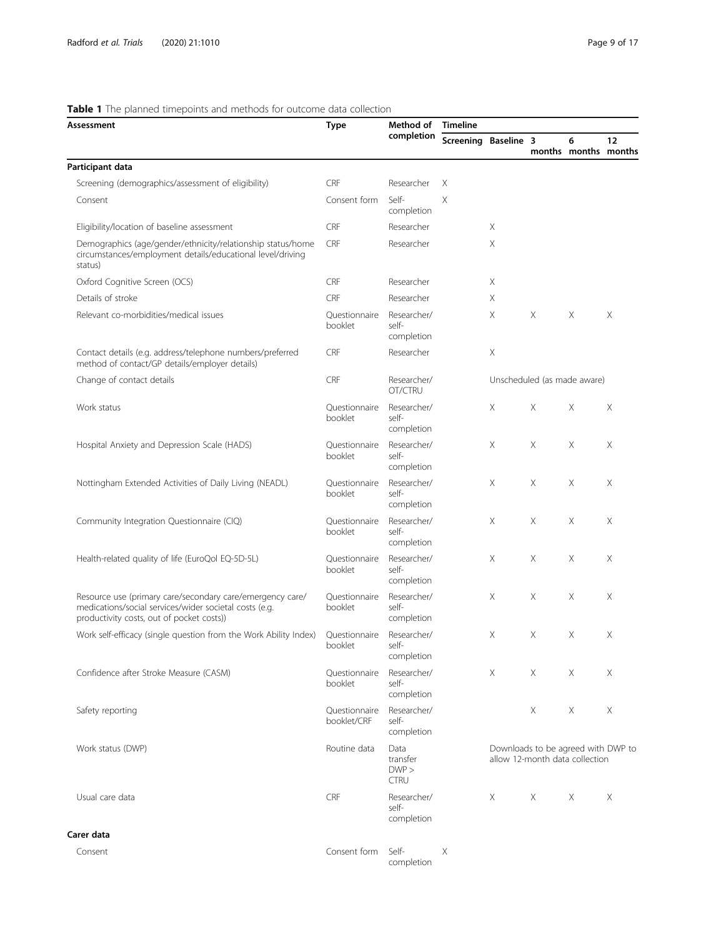## <span id="page-8-0"></span>Table 1 The planned timepoints and methods for outcome data collection

| Assessment                                                                                                                                                       | <b>Type</b>                  | Method of                              | <b>Timeline</b>      |                                                                      |   | 6<br>months months months | 12 |  |
|------------------------------------------------------------------------------------------------------------------------------------------------------------------|------------------------------|----------------------------------------|----------------------|----------------------------------------------------------------------|---|---------------------------|----|--|
|                                                                                                                                                                  |                              | completion                             | Screening Baseline 3 |                                                                      |   |                           |    |  |
| Participant data                                                                                                                                                 |                              |                                        |                      |                                                                      |   |                           |    |  |
| Screening (demographics/assessment of eligibility)                                                                                                               | CRF                          | Researcher                             | X                    |                                                                      |   |                           |    |  |
| Consent                                                                                                                                                          | Consent form                 | Self-<br>completion                    | X                    |                                                                      |   |                           |    |  |
| Eligibility/location of baseline assessment                                                                                                                      | CRF                          | Researcher                             |                      | Χ                                                                    |   |                           |    |  |
| Demographics (age/gender/ethnicity/relationship status/home<br>circumstances/employment details/educational level/driving<br>status)                             | CRF                          | Researcher                             |                      | X                                                                    |   |                           |    |  |
| Oxford Cognitive Screen (OCS)                                                                                                                                    | CRF                          | Researcher                             |                      | X                                                                    |   |                           |    |  |
| Details of stroke                                                                                                                                                | CRF                          | Researcher                             |                      | Χ                                                                    |   |                           |    |  |
| Relevant co-morbidities/medical issues                                                                                                                           | Ouestionnaire<br>booklet     | Researcher/<br>self-<br>completion     |                      | X                                                                    | X | X                         | X  |  |
| Contact details (e.g. address/telephone numbers/preferred<br>method of contact/GP details/employer details)                                                      | CRF                          | Researcher                             |                      | Χ                                                                    |   |                           |    |  |
| Change of contact details                                                                                                                                        | CRF                          | Researcher/<br>OT/CTRU                 |                      | Unscheduled (as made aware)                                          |   |                           |    |  |
| Work status                                                                                                                                                      | Ouestionnaire<br>booklet     | Researcher/<br>self-<br>completion     |                      | X                                                                    | X | X                         | X  |  |
| Hospital Anxiety and Depression Scale (HADS)                                                                                                                     | Questionnaire<br>booklet     | Researcher/<br>self-<br>completion     |                      | X                                                                    | Χ | Χ                         | X  |  |
| Nottingham Extended Activities of Daily Living (NEADL)                                                                                                           | Questionnaire<br>booklet     | Researcher/<br>self-<br>completion     |                      | Χ                                                                    | Χ | Χ                         | Χ  |  |
| Community Integration Questionnaire (CIQ)                                                                                                                        | Questionnaire<br>booklet     | Researcher/<br>self-<br>completion     |                      | Χ                                                                    | X | X                         | X  |  |
| Health-related quality of life (EuroQol EQ-5D-5L)                                                                                                                | Ouestionnaire<br>booklet     | Researcher/<br>self-<br>completion     |                      | X                                                                    | X | Χ                         | X  |  |
| Resource use (primary care/secondary care/emergency care/<br>medications/social services/wider societal costs (e.g.<br>productivity costs, out of pocket costs)) | Questionnaire<br>booklet     | Researcher/<br>self-<br>completion     |                      | Χ                                                                    | Χ | Χ                         | Χ  |  |
| Work self-efficacy (single question from the Work Ability Index)                                                                                                 | Questionnaire<br>booklet     | Researcher/<br>self-<br>completion     |                      | Χ                                                                    | X | Χ                         | X  |  |
| Confidence after Stroke Measure (CASM)                                                                                                                           | Questionnaire<br>booklet     | Researcher/<br>self-<br>completion     |                      | Χ                                                                    | Χ | Χ                         | Χ  |  |
| Safety reporting                                                                                                                                                 | Questionnaire<br>booklet/CRF | Researcher/<br>self-<br>completion     |                      |                                                                      | Χ | Χ                         | Χ  |  |
| Work status (DWP)                                                                                                                                                | Routine data                 | Data<br>transfer<br>DWP<br><b>CTRU</b> |                      | Downloads to be agreed with DWP to<br>allow 12-month data collection |   |                           |    |  |
| Usual care data                                                                                                                                                  | CRF                          | Researcher/<br>self-<br>completion     |                      | Χ                                                                    | Χ | Χ                         | X  |  |
| Carer data                                                                                                                                                       |                              |                                        |                      |                                                                      |   |                           |    |  |
| Consent                                                                                                                                                          | Consent form                 | Self-<br>completion                    | Χ                    |                                                                      |   |                           |    |  |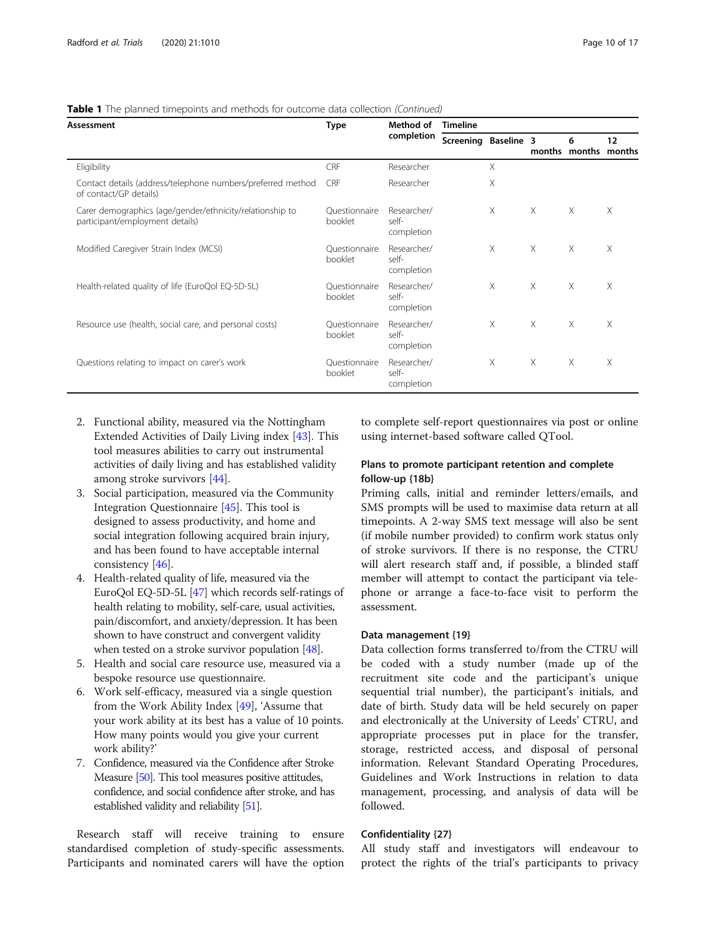|  |  |  |  |  | Table 1 The planned timepoints and methods for outcome data collection (Continued) |
|--|--|--|--|--|------------------------------------------------------------------------------------|
|  |  |  |  |  |                                                                                    |

| Assessment                                                                                  | <b>Type</b>              | Method of<br>completion            | <b>Timeline</b>      |   |          |                    |              |
|---------------------------------------------------------------------------------------------|--------------------------|------------------------------------|----------------------|---|----------|--------------------|--------------|
|                                                                                             |                          |                                    | Screening Baseline 3 |   |          | 6<br>months months | 12<br>months |
| Eligibility                                                                                 | CRF                      | Researcher                         |                      | X |          |                    |              |
| Contact details (address/telephone numbers/preferred method<br>of contact/GP details)       | CRF                      | Researcher                         |                      | X |          |                    |              |
| Carer demographics (age/gender/ethnicity/relationship to<br>participant/employment details) | Ouestionnaire<br>booklet | Researcher/<br>self-<br>completion |                      | X | X        | X                  | X            |
| Modified Caregiver Strain Index (MCSI)                                                      | Ouestionnaire<br>booklet | Researcher/<br>self-<br>completion |                      | X | $\times$ | $\times$           | $\times$     |
| Health-related quality of life (EuroQol EQ-5D-5L)                                           | Ouestionnaire<br>booklet | Researcher/<br>self-<br>completion |                      | X | X        | X                  | X            |
| Resource use (health, social care, and personal costs)                                      | Ouestionnaire<br>booklet | Researcher/<br>self-<br>completion |                      | X | $\times$ | $\times$           | X            |
| Questions relating to impact on carer's work                                                | Questionnaire<br>booklet | Researcher/<br>self-<br>completion |                      | X | $\times$ | $\times$           | X            |

- 2. Functional ability, measured via the Nottingham Extended Activities of Daily Living index [[43\]](#page-15-0). This tool measures abilities to carry out instrumental activities of daily living and has established validity among stroke survivors [[44](#page-15-0)].
- 3. Social participation, measured via the Community Integration Questionnaire [[45](#page-15-0)]. This tool is designed to assess productivity, and home and social integration following acquired brain injury, and has been found to have acceptable internal consistency [[46](#page-15-0)].
- 4. Health-related quality of life, measured via the EuroQol EQ-5D-5L [[47](#page-15-0)] which records self-ratings of health relating to mobility, self-care, usual activities, pain/discomfort, and anxiety/depression. It has been shown to have construct and convergent validity when tested on a stroke survivor population [\[48\]](#page-15-0).
- 5. Health and social care resource use, measured via a bespoke resource use questionnaire.
- 6. Work self-efficacy, measured via a single question from the Work Ability Index [\[49\]](#page-15-0), 'Assume that your work ability at its best has a value of 10 points. How many points would you give your current work ability?'
- 7. Confidence, measured via the Confidence after Stroke Measure [\[50](#page-15-0)]. This tool measures positive attitudes, confidence, and social confidence after stroke, and has established validity and reliability [\[51](#page-15-0)].

Research staff will receive training to ensure standardised completion of study-specific assessments. Participants and nominated carers will have the option to complete self-report questionnaires via post or online using internet-based software called QTool.

## Plans to promote participant retention and complete follow-up {18b}

Priming calls, initial and reminder letters/emails, and SMS prompts will be used to maximise data return at all timepoints. A 2-way SMS text message will also be sent (if mobile number provided) to confirm work status only of stroke survivors. If there is no response, the CTRU will alert research staff and, if possible, a blinded staff member will attempt to contact the participant via telephone or arrange a face-to-face visit to perform the assessment.

#### Data management {19}

Data collection forms transferred to/from the CTRU will be coded with a study number (made up of the recruitment site code and the participant's unique sequential trial number), the participant's initials, and date of birth. Study data will be held securely on paper and electronically at the University of Leeds' CTRU, and appropriate processes put in place for the transfer, storage, restricted access, and disposal of personal information. Relevant Standard Operating Procedures, Guidelines and Work Instructions in relation to data management, processing, and analysis of data will be followed.

## Confidentiality {27}

All study staff and investigators will endeavour to protect the rights of the trial's participants to privacy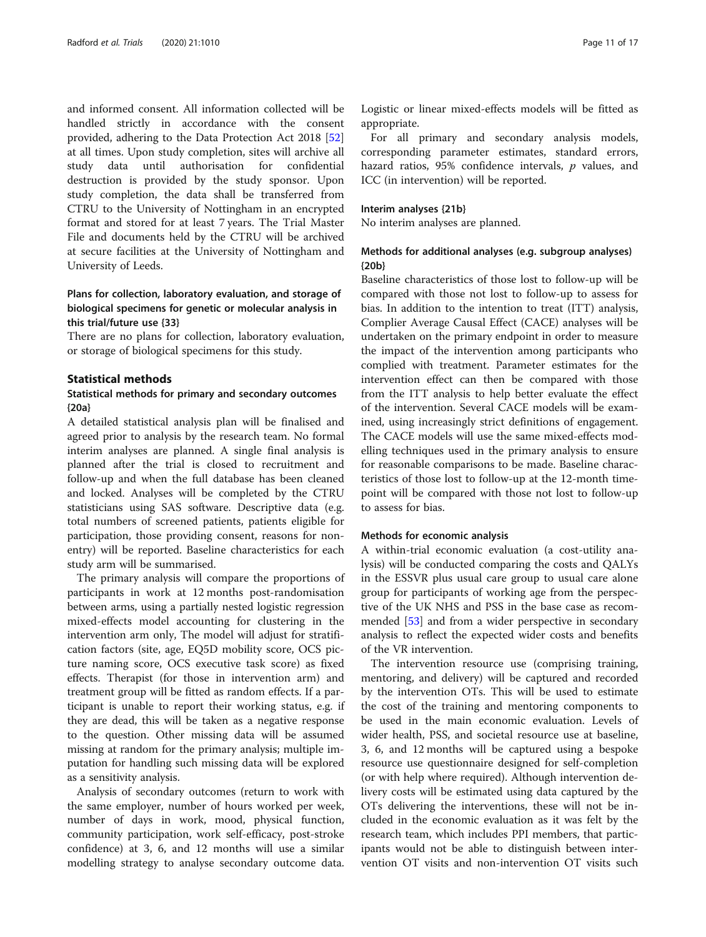and informed consent. All information collected will be handled strictly in accordance with the consent provided, adhering to the Data Protection Act 2018 [[52](#page-15-0)] at all times. Upon study completion, sites will archive all study data until authorisation for confidential destruction is provided by the study sponsor. Upon study completion, the data shall be transferred from CTRU to the University of Nottingham in an encrypted format and stored for at least 7 years. The Trial Master File and documents held by the CTRU will be archived at secure facilities at the University of Nottingham and University of Leeds.

## Plans for collection, laboratory evaluation, and storage of biological specimens for genetic or molecular analysis in this trial/future use {33}

There are no plans for collection, laboratory evaluation, or storage of biological specimens for this study.

#### Statistical methods

## Statistical methods for primary and secondary outcomes {20a}

A detailed statistical analysis plan will be finalised and agreed prior to analysis by the research team. No formal interim analyses are planned. A single final analysis is planned after the trial is closed to recruitment and follow-up and when the full database has been cleaned and locked. Analyses will be completed by the CTRU statisticians using SAS software. Descriptive data (e.g. total numbers of screened patients, patients eligible for participation, those providing consent, reasons for nonentry) will be reported. Baseline characteristics for each study arm will be summarised.

The primary analysis will compare the proportions of participants in work at 12 months post-randomisation between arms, using a partially nested logistic regression mixed-effects model accounting for clustering in the intervention arm only, The model will adjust for stratification factors (site, age, EQ5D mobility score, OCS picture naming score, OCS executive task score) as fixed effects. Therapist (for those in intervention arm) and treatment group will be fitted as random effects. If a participant is unable to report their working status, e.g. if they are dead, this will be taken as a negative response to the question. Other missing data will be assumed missing at random for the primary analysis; multiple imputation for handling such missing data will be explored as a sensitivity analysis.

Analysis of secondary outcomes (return to work with the same employer, number of hours worked per week, number of days in work, mood, physical function, community participation, work self-efficacy, post-stroke confidence) at 3, 6, and 12 months will use a similar modelling strategy to analyse secondary outcome data.

Logistic or linear mixed-effects models will be fitted as appropriate.

For all primary and secondary analysis models, corresponding parameter estimates, standard errors, hazard ratios, 95% confidence intervals,  $p$  values, and ICC (in intervention) will be reported.

#### Interim analyses {21b}

No interim analyses are planned.

## Methods for additional analyses (e.g. subgroup analyses) {20b}

Baseline characteristics of those lost to follow-up will be compared with those not lost to follow-up to assess for bias. In addition to the intention to treat (ITT) analysis, Complier Average Causal Effect (CACE) analyses will be undertaken on the primary endpoint in order to measure the impact of the intervention among participants who complied with treatment. Parameter estimates for the intervention effect can then be compared with those from the ITT analysis to help better evaluate the effect of the intervention. Several CACE models will be examined, using increasingly strict definitions of engagement. The CACE models will use the same mixed-effects modelling techniques used in the primary analysis to ensure for reasonable comparisons to be made. Baseline characteristics of those lost to follow-up at the 12-month timepoint will be compared with those not lost to follow-up to assess for bias.

#### Methods for economic analysis

A within-trial economic evaluation (a cost-utility analysis) will be conducted comparing the costs and QALYs in the ESSVR plus usual care group to usual care alone group for participants of working age from the perspective of the UK NHS and PSS in the base case as recommended [\[53](#page-15-0)] and from a wider perspective in secondary analysis to reflect the expected wider costs and benefits of the VR intervention.

The intervention resource use (comprising training, mentoring, and delivery) will be captured and recorded by the intervention OTs. This will be used to estimate the cost of the training and mentoring components to be used in the main economic evaluation. Levels of wider health, PSS, and societal resource use at baseline, 3, 6, and 12 months will be captured using a bespoke resource use questionnaire designed for self-completion (or with help where required). Although intervention delivery costs will be estimated using data captured by the OTs delivering the interventions, these will not be included in the economic evaluation as it was felt by the research team, which includes PPI members, that participants would not be able to distinguish between intervention OT visits and non-intervention OT visits such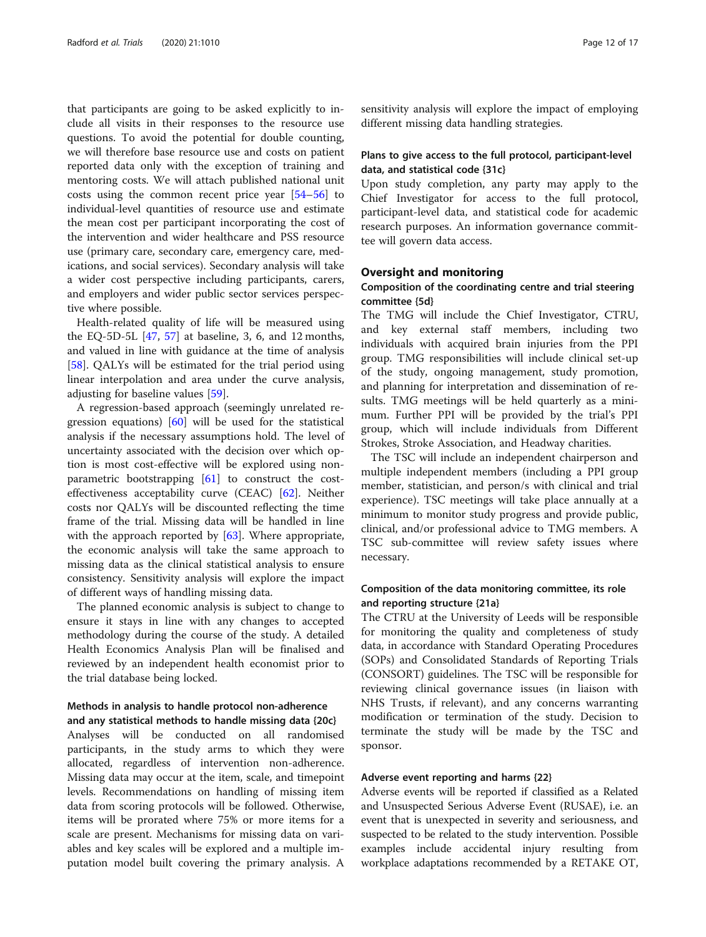that participants are going to be asked explicitly to include all visits in their responses to the resource use questions. To avoid the potential for double counting, we will therefore base resource use and costs on patient reported data only with the exception of training and mentoring costs. We will attach published national unit costs using the common recent price year [[54](#page-15-0)–[56](#page-15-0)] to individual-level quantities of resource use and estimate the mean cost per participant incorporating the cost of the intervention and wider healthcare and PSS resource use (primary care, secondary care, emergency care, medications, and social services). Secondary analysis will take a wider cost perspective including participants, carers, and employers and wider public sector services perspective where possible.

Health-related quality of life will be measured using the EQ-5D-5L [\[47,](#page-15-0) [57\]](#page-16-0) at baseline, 3, 6, and 12 months, and valued in line with guidance at the time of analysis [[58\]](#page-16-0). QALYs will be estimated for the trial period using linear interpolation and area under the curve analysis, adjusting for baseline values [[59\]](#page-16-0).

A regression-based approach (seemingly unrelated regression equations)  $[60]$  $[60]$  will be used for the statistical analysis if the necessary assumptions hold. The level of uncertainty associated with the decision over which option is most cost-effective will be explored using nonparametric bootstrapping [\[61\]](#page-16-0) to construct the costeffectiveness acceptability curve (CEAC) [[62\]](#page-16-0). Neither costs nor QALYs will be discounted reflecting the time frame of the trial. Missing data will be handled in line with the approach reported by [\[63\]](#page-16-0). Where appropriate, the economic analysis will take the same approach to missing data as the clinical statistical analysis to ensure consistency. Sensitivity analysis will explore the impact of different ways of handling missing data.

The planned economic analysis is subject to change to ensure it stays in line with any changes to accepted methodology during the course of the study. A detailed Health Economics Analysis Plan will be finalised and reviewed by an independent health economist prior to the trial database being locked.

#### Methods in analysis to handle protocol non-adherence and any statistical methods to handle missing data {20c}

Analyses will be conducted on all randomised participants, in the study arms to which they were allocated, regardless of intervention non-adherence. Missing data may occur at the item, scale, and timepoint levels. Recommendations on handling of missing item data from scoring protocols will be followed. Otherwise, items will be prorated where 75% or more items for a scale are present. Mechanisms for missing data on variables and key scales will be explored and a multiple imputation model built covering the primary analysis. A sensitivity analysis will explore the impact of employing different missing data handling strategies.

## Plans to give access to the full protocol, participant-level data, and statistical code {31c}

Upon study completion, any party may apply to the Chief Investigator for access to the full protocol, participant-level data, and statistical code for academic research purposes. An information governance committee will govern data access.

#### Oversight and monitoring

## Composition of the coordinating centre and trial steering committee {5d}

The TMG will include the Chief Investigator, CTRU, and key external staff members, including two individuals with acquired brain injuries from the PPI group. TMG responsibilities will include clinical set-up of the study, ongoing management, study promotion, and planning for interpretation and dissemination of results. TMG meetings will be held quarterly as a minimum. Further PPI will be provided by the trial's PPI group, which will include individuals from Different Strokes, Stroke Association, and Headway charities.

The TSC will include an independent chairperson and multiple independent members (including a PPI group member, statistician, and person/s with clinical and trial experience). TSC meetings will take place annually at a minimum to monitor study progress and provide public, clinical, and/or professional advice to TMG members. A TSC sub-committee will review safety issues where necessary.

## Composition of the data monitoring committee, its role and reporting structure {21a}

The CTRU at the University of Leeds will be responsible for monitoring the quality and completeness of study data, in accordance with Standard Operating Procedures (SOPs) and Consolidated Standards of Reporting Trials (CONSORT) guidelines. The TSC will be responsible for reviewing clinical governance issues (in liaison with NHS Trusts, if relevant), and any concerns warranting modification or termination of the study. Decision to terminate the study will be made by the TSC and sponsor.

#### Adverse event reporting and harms {22}

Adverse events will be reported if classified as a Related and Unsuspected Serious Adverse Event (RUSAE), i.e. an event that is unexpected in severity and seriousness, and suspected to be related to the study intervention. Possible examples include accidental injury resulting from workplace adaptations recommended by a RETAKE OT,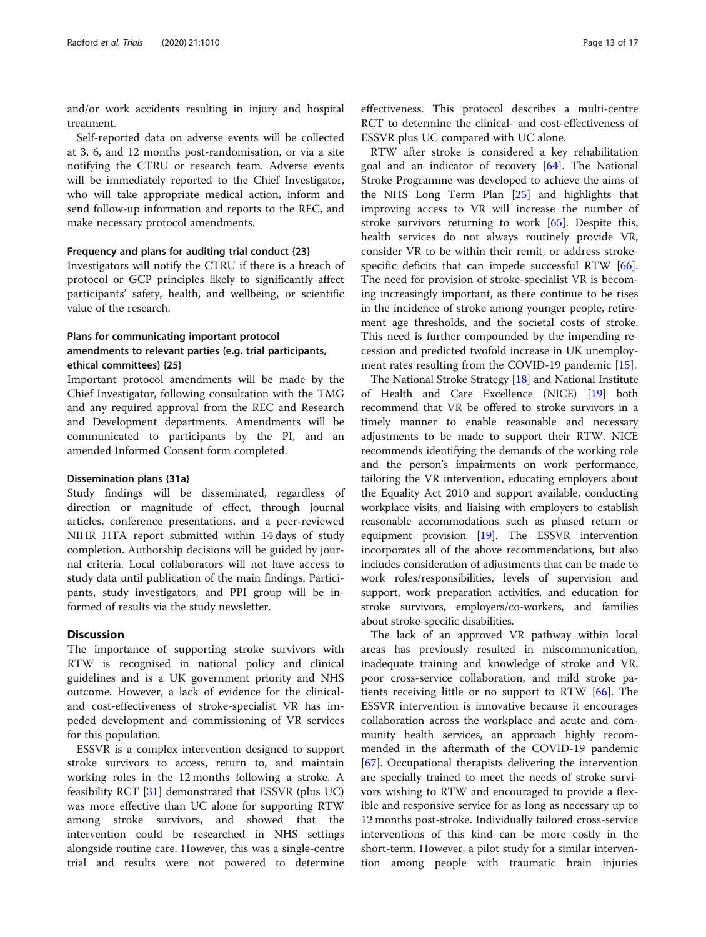and/or work accidents resulting in injury and hospital treatment.

Self-reported data on adverse events will be collected at 3, 6, and 12 months post-randomisation, or via a site notifying the CTRU or research team. Adverse events will be immediately reported to the Chief Investigator, who will take appropriate medical action, inform and send follow-up information and reports to the REC, and make necessary protocol amendments.

#### Frequency and plans for auditing trial conduct {23}

Investigators will notify the CTRU if there is a breach of protocol or GCP principles likely to significantly affect participants' safety, health, and wellbeing, or scientific value of the research.

## Plans for communicating important protocol amendments to relevant parties (e.g. trial participants, ethical committees) {25}

Important protocol amendments will be made by the Chief Investigator, following consultation with the TMG and any required approval from the REC and Research and Development departments. Amendments will be communicated to participants by the PI, and an amended Informed Consent form completed.

#### Dissemination plans {31a}

Study findings will be disseminated, regardless of direction or magnitude of effect, through journal articles, conference presentations, and a peer-reviewed NIHR HTA report submitted within 14 days of study completion. Authorship decisions will be guided by journal criteria. Local collaborators will not have access to study data until publication of the main findings. Participants, study investigators, and PPI group will be informed of results via the study newsletter.

#### **Discussion**

The importance of supporting stroke survivors with RTW is recognised in national policy and clinical guidelines and is a UK government priority and NHS outcome. However, a lack of evidence for the clinicaland cost-effectiveness of stroke-specialist VR has impeded development and commissioning of VR services for this population.

ESSVR is a complex intervention designed to support stroke survivors to access, return to, and maintain working roles in the 12 months following a stroke. A feasibility RCT [[31\]](#page-15-0) demonstrated that ESSVR (plus UC) was more effective than UC alone for supporting RTW among stroke survivors, and showed that the intervention could be researched in NHS settings alongside routine care. However, this was a single-centre trial and results were not powered to determine

effectiveness. This protocol describes a multi-centre RCT to determine the clinical- and cost-effectiveness of ESSVR plus UC compared with UC alone.

RTW after stroke is considered a key rehabilitation goal and an indicator of recovery [\[64](#page-16-0)]. The National Stroke Programme was developed to achieve the aims of the NHS Long Term Plan [[25\]](#page-15-0) and highlights that improving access to VR will increase the number of stroke survivors returning to work [[65\]](#page-16-0). Despite this, health services do not always routinely provide VR, consider VR to be within their remit, or address stroke-specific deficits that can impede successful RTW [\[66](#page-16-0)]. The need for provision of stroke-specialist VR is becoming increasingly important, as there continue to be rises in the incidence of stroke among younger people, retirement age thresholds, and the societal costs of stroke. This need is further compounded by the impending recession and predicted twofold increase in UK unemployment rates resulting from the COVID-19 pandemic [\[15\]](#page-15-0).

The National Stroke Strategy [\[18\]](#page-15-0) and National Institute of Health and Care Excellence (NICE) [[19](#page-15-0)] both recommend that VR be offered to stroke survivors in a timely manner to enable reasonable and necessary adjustments to be made to support their RTW. NICE recommends identifying the demands of the working role and the person's impairments on work performance, tailoring the VR intervention, educating employers about the Equality Act 2010 and support available, conducting workplace visits, and liaising with employers to establish reasonable accommodations such as phased return or equipment provision [\[19\]](#page-15-0). The ESSVR intervention incorporates all of the above recommendations, but also includes consideration of adjustments that can be made to work roles/responsibilities, levels of supervision and support, work preparation activities, and education for stroke survivors, employers/co-workers, and families about stroke-specific disabilities.

The lack of an approved VR pathway within local areas has previously resulted in miscommunication, inadequate training and knowledge of stroke and VR, poor cross-service collaboration, and mild stroke patients receiving little or no support to RTW [[66\]](#page-16-0). The ESSVR intervention is innovative because it encourages collaboration across the workplace and acute and community health services, an approach highly recommended in the aftermath of the COVID-19 pandemic [[67\]](#page-16-0). Occupational therapists delivering the intervention are specially trained to meet the needs of stroke survivors wishing to RTW and encouraged to provide a flexible and responsive service for as long as necessary up to 12 months post-stroke. Individually tailored cross-service interventions of this kind can be more costly in the short-term. However, a pilot study for a similar intervention among people with traumatic brain injuries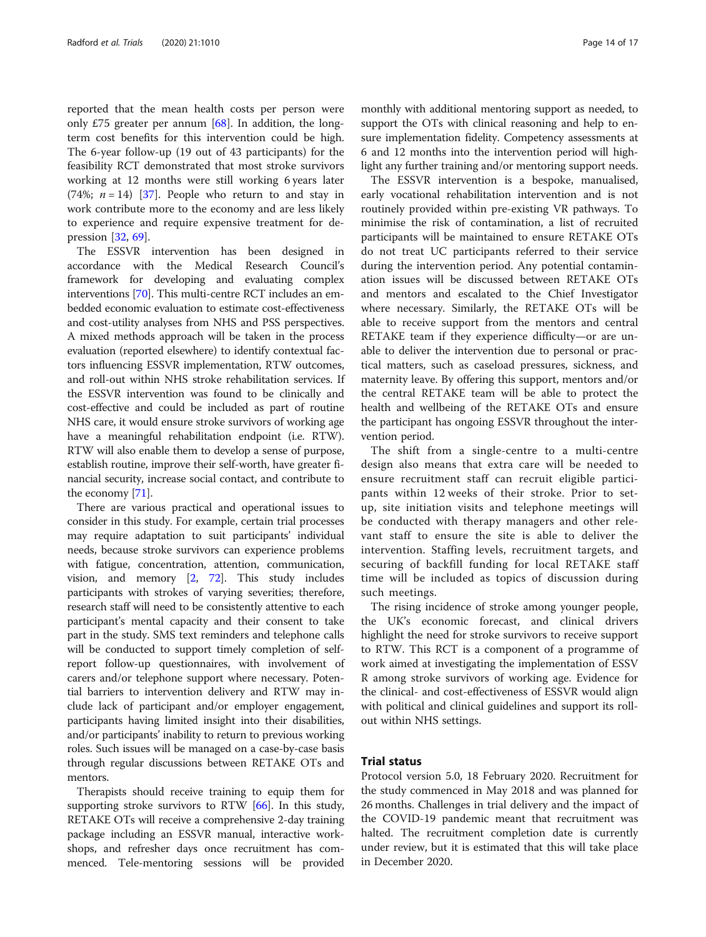reported that the mean health costs per person were only £75 greater per annum  $[68]$  $[68]$ . In addition, the longterm cost benefits for this intervention could be high. The 6-year follow-up (19 out of 43 participants) for the feasibility RCT demonstrated that most stroke survivors working at 12 months were still working 6 years later (74%;  $n = 14$ ) [[37](#page-15-0)]. People who return to and stay in work contribute more to the economy and are less likely to experience and require expensive treatment for depression [[32,](#page-15-0) [69](#page-16-0)].

The ESSVR intervention has been designed in accordance with the Medical Research Council's framework for developing and evaluating complex interventions [[70](#page-16-0)]. This multi-centre RCT includes an embedded economic evaluation to estimate cost-effectiveness and cost-utility analyses from NHS and PSS perspectives. A mixed methods approach will be taken in the process evaluation (reported elsewhere) to identify contextual factors influencing ESSVR implementation, RTW outcomes, and roll-out within NHS stroke rehabilitation services. If the ESSVR intervention was found to be clinically and cost-effective and could be included as part of routine NHS care, it would ensure stroke survivors of working age have a meaningful rehabilitation endpoint (i.e. RTW). RTW will also enable them to develop a sense of purpose, establish routine, improve their self-worth, have greater financial security, increase social contact, and contribute to the economy [\[71\]](#page-16-0).

There are various practical and operational issues to consider in this study. For example, certain trial processes may require adaptation to suit participants' individual needs, because stroke survivors can experience problems with fatigue, concentration, attention, communication, vision, and memory [\[2](#page-14-0), [72](#page-16-0)]. This study includes participants with strokes of varying severities; therefore, research staff will need to be consistently attentive to each participant's mental capacity and their consent to take part in the study. SMS text reminders and telephone calls will be conducted to support timely completion of selfreport follow-up questionnaires, with involvement of carers and/or telephone support where necessary. Potential barriers to intervention delivery and RTW may include lack of participant and/or employer engagement, participants having limited insight into their disabilities, and/or participants' inability to return to previous working roles. Such issues will be managed on a case-by-case basis through regular discussions between RETAKE OTs and mentors.

Therapists should receive training to equip them for supporting stroke survivors to RTW [\[66\]](#page-16-0). In this study, RETAKE OTs will receive a comprehensive 2-day training package including an ESSVR manual, interactive workshops, and refresher days once recruitment has commenced. Tele-mentoring sessions will be provided

monthly with additional mentoring support as needed, to support the OTs with clinical reasoning and help to ensure implementation fidelity. Competency assessments at 6 and 12 months into the intervention period will highlight any further training and/or mentoring support needs.

The ESSVR intervention is a bespoke, manualised, early vocational rehabilitation intervention and is not routinely provided within pre-existing VR pathways. To minimise the risk of contamination, a list of recruited participants will be maintained to ensure RETAKE OTs do not treat UC participants referred to their service during the intervention period. Any potential contamination issues will be discussed between RETAKE OTs and mentors and escalated to the Chief Investigator where necessary. Similarly, the RETAKE OTs will be able to receive support from the mentors and central RETAKE team if they experience difficulty—or are unable to deliver the intervention due to personal or practical matters, such as caseload pressures, sickness, and maternity leave. By offering this support, mentors and/or the central RETAKE team will be able to protect the health and wellbeing of the RETAKE OTs and ensure the participant has ongoing ESSVR throughout the intervention period.

The shift from a single-centre to a multi-centre design also means that extra care will be needed to ensure recruitment staff can recruit eligible participants within 12 weeks of their stroke. Prior to setup, site initiation visits and telephone meetings will be conducted with therapy managers and other relevant staff to ensure the site is able to deliver the intervention. Staffing levels, recruitment targets, and securing of backfill funding for local RETAKE staff time will be included as topics of discussion during such meetings.

The rising incidence of stroke among younger people, the UK's economic forecast, and clinical drivers highlight the need for stroke survivors to receive support to RTW. This RCT is a component of a programme of work aimed at investigating the implementation of ESSV R among stroke survivors of working age. Evidence for the clinical- and cost-effectiveness of ESSVR would align with political and clinical guidelines and support its rollout within NHS settings.

### Trial status

Protocol version 5.0, 18 February 2020. Recruitment for the study commenced in May 2018 and was planned for 26 months. Challenges in trial delivery and the impact of the COVID-19 pandemic meant that recruitment was halted. The recruitment completion date is currently under review, but it is estimated that this will take place in December 2020.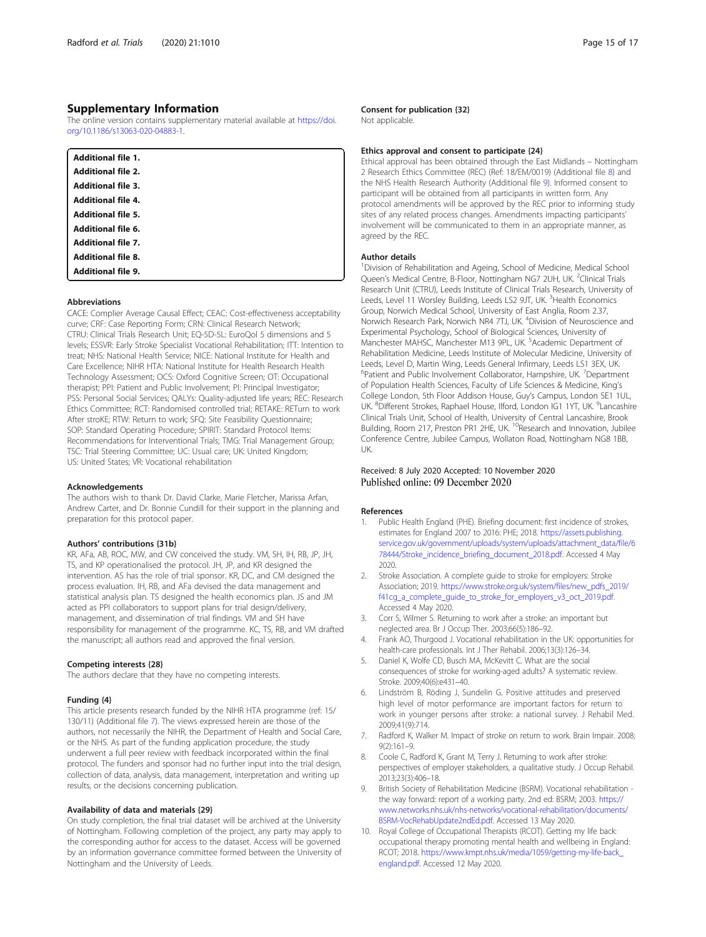#### <span id="page-14-0"></span>Supplementary Information

The online version contains supplementary material available at [https://doi.](https://doi.org/10.1186/s13063-020-04883-1) [org/10.1186/s13063-020-04883-1.](https://doi.org/10.1186/s13063-020-04883-1)



#### Abbreviations

CACE: Complier Average Causal Effect; CEAC: Cost-effectiveness acceptability curve; CRF: Case Reporting Form; CRN: Clinical Research Network; CTRU: Clinical Trials Research Unit; EQ-5D-5L: EuroQol 5 dimensions and 5 levels; ESSVR: Early Stroke Specialist Vocational Rehabilitation; ITT: Intention to treat; NHS: National Health Service; NICE: National Institute for Health and Care Excellence; NIHR HTA: National Institute for Health Research Health Technology Assessment; OCS: Oxford Cognitive Screen; OT: Occupational therapist; PPI: Patient and Public Involvement; PI: Principal Investigator; PSS: Personal Social Services; QALYs: Quality-adjusted life years; REC: Research Ethics Committee; RCT: Randomised controlled trial; RETAKE: RETurn to work After stroKE; RTW: Return to work; SFQ: Site Feasibility Questionnaire; SOP: Standard Operating Procedure; SPIRIT: Standard Protocol Items: Recommendations for Interventional Trials; TMG: Trial Management Group; TSC: Trial Steering Committee; UC: Usual care; UK: United Kingdom; US: United States; VR: Vocational rehabilitation

#### Acknowledgements

The authors wish to thank Dr. David Clarke, Marie Fletcher, Marissa Arfan, Andrew Carter, and Dr. Bonnie Cundill for their support in the planning and preparation for this protocol paper.

#### Authors' contributions {31b}

KR, AFa, AB, ROC, MW, and CW conceived the study. VM, SH, IH, RB, JP, JH, TS, and KP operationalised the protocol. JH, JP, and KR designed the intervention. AS has the role of trial sponsor. KR, DC, and CM designed the process evaluation. IH, RB, and AFa devised the data management and statistical analysis plan. TS designed the health economics plan. JS and JM acted as PPI collaborators to support plans for trial design/delivery, management, and dissemination of trial findings. VM and SH have responsibility for management of the programme. KC, TS, RB, and VM drafted the manuscript; all authors read and approved the final version.

#### Competing interests {28}

The authors declare that they have no competing interests.

#### Funding {4}

This article presents research funded by the NIHR HTA programme (ref: 15/ 130/11) (Additional file 7). The views expressed herein are those of the authors, not necessarily the NIHR, the Department of Health and Social Care, or the NHS. As part of the funding application procedure, the study underwent a full peer review with feedback incorporated within the final protocol. The funders and sponsor had no further input into the trial design, collection of data, analysis, data management, interpretation and writing up results, or the decisions concerning publication.

#### Availability of data and materials {29}

On study completion, the final trial dataset will be archived at the University of Nottingham. Following completion of the project, any party may apply to the corresponding author for access to the dataset. Access will be governed by an information governance committee formed between the University of Nottingham and the University of Leeds.

#### Consent for publication {32}

Not applicable.

#### Ethics approval and consent to participate {24}

Ethical approval has been obtained through the East Midlands – Nottingham 2 Research Ethics Committee (REC) (Ref: 18/EM/0019) (Additional file 8) and the NHS Health Research Authority (Additional file 9). Informed consent to participant will be obtained from all participants in written form. Any protocol amendments will be approved by the REC prior to informing study sites of any related process changes. Amendments impacting participants' involvement will be communicated to them in an appropriate manner, as agreed by the REC.

#### Author details

<sup>1</sup> Division of Rehabilitation and Ageing, School of Medicine, Medical School Queen's Medical Centre, B-Floor, Nottingham NG7 2UH, UK. <sup>2</sup>Clinical Trials Research Unit (CTRU), Leeds Institute of Clinical Trials Research, University of Leeds, Level 11 Worsley Building, Leeds LS2 9JT, UK.<sup>3</sup> Health Economics Group, Norwich Medical School, University of East Anglia, Room 2.37, Norwich Research Park, Norwich NR4 7TJ, UK. <sup>4</sup>Division of Neuroscience and Experimental Psychology, School of Biological Sciences, University of Manchester MAHSC, Manchester M13 9PL, UK.<sup>5</sup> Academic Department of Rehabilitation Medicine, Leeds Institute of Molecular Medicine, University of Leeds, Level D, Martin Wing, Leeds General Infirmary, Leeds LS1 3EX, UK. <sup>6</sup>Patient and Public Involvement Collaborator, Hampshire, UK. <sup>7</sup>Department of Population Health Sciences, Faculty of Life Sciences & Medicine, King's College London, 5th Floor Addison House, Guy's Campus, London SE1 1UL, UK. <sup>8</sup>Different Strokes, Raphael House, Ilford, London IG1 1YT, UK. <sup>9</sup>Lancashire Clinical Trials Unit, School of Health, University of Central Lancashire, Brook Building, Room 217, Preston PR1 2HE, UK. <sup>10</sup>Research and Innovation, Jubilee Conference Centre, Jubilee Campus, Wollaton Road, Nottingham NG8 1BB, UK.

#### Received: 8 July 2020 Accepted: 10 November 2020 Published online: 09 December 2020

#### References

- Public Health England (PHE). Briefing document: first incidence of strokes, estimates for England 2007 to 2016: PHE; 2018. [https://assets.publishing.](https://assets.publishing.service.gov.uk/government/uploads/system/uploads/attachment_data/file/678444/Stroke_incidence_briefing_document_2018.pdf) [service.gov.uk/government/uploads/system/uploads/attachment\\_data/file/6](https://assets.publishing.service.gov.uk/government/uploads/system/uploads/attachment_data/file/678444/Stroke_incidence_briefing_document_2018.pdf) [78444/Stroke\\_incidence\\_briefing\\_document\\_2018.pdf](https://assets.publishing.service.gov.uk/government/uploads/system/uploads/attachment_data/file/678444/Stroke_incidence_briefing_document_2018.pdf). Accessed 4 May 2020.
- 2. Stroke Association. A complete guide to stroke for employers: Stroke Association; 2019. [https://www.stroke.org.uk/system/files/new\\_pdfs\\_2019/](https://www.stroke.org.uk/system/files/new_pdfs_2019/f41cg_a_complete_guide_to_stroke_for_employers_v3_oct_2019.pdf) [f41cg\\_a\\_complete\\_guide\\_to\\_stroke\\_for\\_employers\\_v3\\_oct\\_2019.pdf.](https://www.stroke.org.uk/system/files/new_pdfs_2019/f41cg_a_complete_guide_to_stroke_for_employers_v3_oct_2019.pdf) Accessed 4 May 2020.
- Corr S, Wilmer S. Returning to work after a stroke: an important but neglected area. Br J Occup Ther. 2003;66(5):186–92.
- 4. Frank AO, Thurgood J. Vocational rehabilitation in the UK: opportunities for health-care professionals. Int J Ther Rehabil. 2006;13(3):126–34.
- 5. Daniel K, Wolfe CD, Busch MA, McKevitt C. What are the social consequences of stroke for working-aged adults? A systematic review. Stroke. 2009;40(6):e431–40.
- 6. Lindström B, Röding J, Sundelin G. Positive attitudes and preserved high level of motor performance are important factors for return to work in younger persons after stroke: a national survey. J Rehabil Med. 2009;41(9):714.
- 7. Radford K, Walker M. Impact of stroke on return to work. Brain Impair. 2008; 9(2):161–9.
- 8. Coole C, Radford K, Grant M, Terry J. Returning to work after stroke: perspectives of employer stakeholders, a qualitative study. J Occup Rehabil. 2013;23(3):406–18.
- 9. British Society of Rehabilitation Medicine (BSRM). Vocational rehabilitation the way forward: report of a working party. 2nd ed: BSRM; 2003. [https://](https://www.networks.nhs.uk/nhs-networks/vocational-rehabilitation/documents/BSRM-VocRehabUpdate2ndEd.pdf) [www.networks.nhs.uk/nhs-networks/vocational-rehabilitation/documents/](https://www.networks.nhs.uk/nhs-networks/vocational-rehabilitation/documents/BSRM-VocRehabUpdate2ndEd.pdf) [BSRM-VocRehabUpdate2ndEd.pdf.](https://www.networks.nhs.uk/nhs-networks/vocational-rehabilitation/documents/BSRM-VocRehabUpdate2ndEd.pdf) Accessed 13 May 2020.
- 10. Royal College of Occupational Therapists (RCOT). Getting my life back: occupational therapy promoting mental health and wellbeing in England: RCOT; 2018. [https://www.kmpt.nhs.uk/media/1059/getting-my-life-back\\_](https://www.kmpt.nhs.uk/media/1059/getting-my-life-back_england.pdf) [england.pdf.](https://www.kmpt.nhs.uk/media/1059/getting-my-life-back_england.pdf) Accessed 12 May 2020.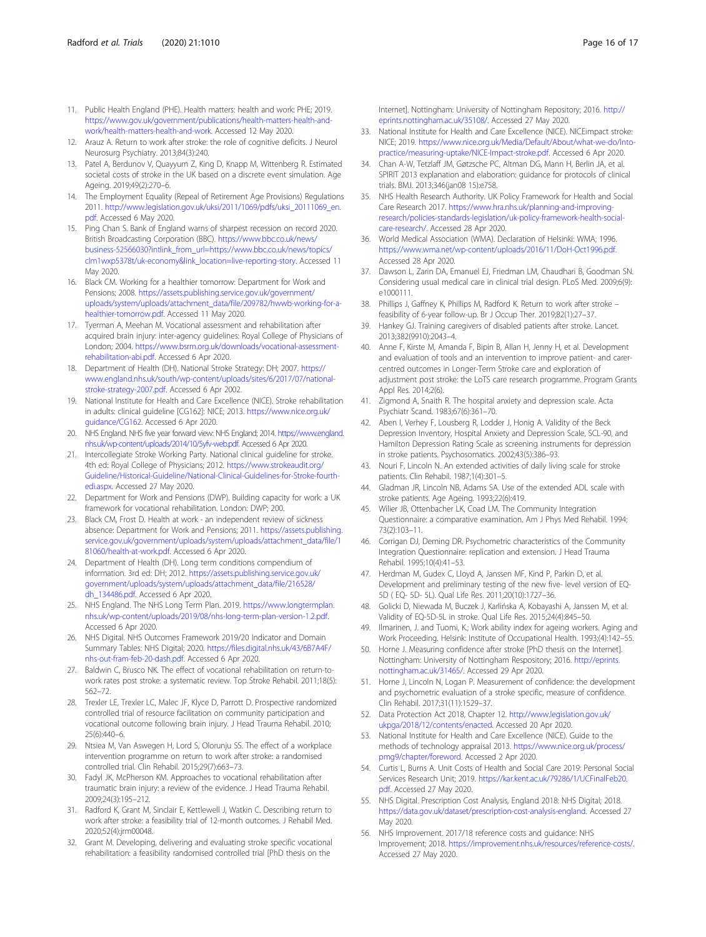- <span id="page-15-0"></span>11. Public Health England (PHE). Health matters: health and work: PHE; 2019. [https://www.gov.uk/government/publications/health-matters-health-and](https://www.gov.uk/government/publications/health-matters-health-and-work/health-matters-health-and-work)[work/health-matters-health-and-work](https://www.gov.uk/government/publications/health-matters-health-and-work/health-matters-health-and-work). Accessed 12 May 2020.
- 12. Arauz A. Return to work after stroke: the role of cognitive deficits. J Neurol Neurosurg Psychiatry. 2013;84(3):240.
- 13. Patel A, Berdunov V, Quayyum Z, King D, Knapp M, Wittenberg R. Estimated societal costs of stroke in the UK based on a discrete event simulation. Age Ageing. 2019;49(2):270–6.
- 14. The Employment Equality (Repeal of Retirement Age Provisions) Regulations 2011. [http://www.legislation.gov.uk/uksi/2011/1069/pdfs/uksi\\_20111069\\_en.](http://www.legislation.gov.uk/uksi/2011/1069/pdfs/uksi_20111069_en.pdf) [pdf](http://www.legislation.gov.uk/uksi/2011/1069/pdfs/uksi_20111069_en.pdf). Accessed 6 May 2020.
- 15. Ping Chan S. Bank of England warns of sharpest recession on record 2020. British Broadcasting Corporation (BBC). [https://www.bbc.co.uk/news/](https://www.bbc.co.uk/news/business-52566030?intlink_from_url=https://www.bbc.co.uk/news/topics/clm1wxp5378t/uk-economy&link_location=live-reporting-story) [business-52566030?intlink\\_from\\_url=https://www.bbc.co.uk/news/topics/](https://www.bbc.co.uk/news/business-52566030?intlink_from_url=https://www.bbc.co.uk/news/topics/clm1wxp5378t/uk-economy&link_location=live-reporting-story) [clm1wxp5378t/uk-economy&link\\_location=live-reporting-story](https://www.bbc.co.uk/news/business-52566030?intlink_from_url=https://www.bbc.co.uk/news/topics/clm1wxp5378t/uk-economy&link_location=live-reporting-story). Accessed 11 May 2020.
- 16. Black CM. Working for a healthier tomorrow: Department for Work and Pensions; 2008. [https://assets.publishing.service.gov.uk/government/](https://assets.publishing.service.gov.uk/government/uploads/system/uploads/attachment_data/file/209782/hwwb-working-for-a-healthier-tomorrow.pdf) [uploads/system/uploads/attachment\\_data/file/209782/hwwb-working-for-a](https://assets.publishing.service.gov.uk/government/uploads/system/uploads/attachment_data/file/209782/hwwb-working-for-a-healthier-tomorrow.pdf)[healthier-tomorrow.pdf.](https://assets.publishing.service.gov.uk/government/uploads/system/uploads/attachment_data/file/209782/hwwb-working-for-a-healthier-tomorrow.pdf) Accessed 11 May 2020.
- 17. Tyerman A, Meehan M. Vocational assessment and rehabilitation after acquired brain injury: inter-agency guidelines: Royal College of Physicians of London; 2004. [https://www.bsrm.org.uk/downloads/vocational-assessment](https://www.bsrm.org.uk/downloads/vocational-assessment-rehabilitation-abi.pdf)[rehabilitation-abi.pdf](https://www.bsrm.org.uk/downloads/vocational-assessment-rehabilitation-abi.pdf). Accessed 6 Apr 2020.
- 18. Department of Health (DH). National Stroke Strategy: DH; 2007. [https://](https://www.england.nhs.uk/south/wp-content/uploads/sites/6/2017/07/national-stroke-strategy-2007.pdf) [www.england.nhs.uk/south/wp-content/uploads/sites/6/2017/07/national](https://www.england.nhs.uk/south/wp-content/uploads/sites/6/2017/07/national-stroke-strategy-2007.pdf)[stroke-strategy-2007.pdf.](https://www.england.nhs.uk/south/wp-content/uploads/sites/6/2017/07/national-stroke-strategy-2007.pdf) Accessed 6 Apr 2002.
- 19. National Institute for Health and Care Excellence (NICE). Stroke rehabilitation in adults: clinical guideline [CG162]: NICE; 2013. [https://www.nice.org.uk/](https://www.nice.org.uk/guidance/CG162) [guidance/CG162](https://www.nice.org.uk/guidance/CG162). Accessed 6 Apr 2020.
- 20. NHS England. NHS five year forward view: NHS England; 2014. [https://www.england.](https://www.england.nhs.uk/wp-content/uploads/2014/10/5yfv-web.pdf) [nhs.uk/wp-content/uploads/2014/10/5yfv-web.pdf](https://www.england.nhs.uk/wp-content/uploads/2014/10/5yfv-web.pdf). Accessed 6 Apr 2020.
- 21. Intercollegiate Stroke Working Party. National clinical guideline for stroke. 4th ed: Royal College of Physicians; 2012. [https://www.strokeaudit.org/](https://www.strokeaudit.org/Guideline/Historical-Guideline/National-Clinical-Guidelines-for-Stroke-fourth-edi.aspx) [Guideline/Historical-Guideline/National-Clinical-Guidelines-for-Stroke-fourth](https://www.strokeaudit.org/Guideline/Historical-Guideline/National-Clinical-Guidelines-for-Stroke-fourth-edi.aspx)[edi.aspx](https://www.strokeaudit.org/Guideline/Historical-Guideline/National-Clinical-Guidelines-for-Stroke-fourth-edi.aspx). Accessed 27 May 2020.
- 22. Department for Work and Pensions (DWP). Building capacity for work: a UK framework for vocational rehabilitation. London: DWP; 200.
- 23. Black CM, Frost D. Health at work an independent review of sickness absence: Department for Work and Pensions; 2011. [https://assets.publishing.](https://assets.publishing.service.gov.uk/government/uploads/system/uploads/attachment_data/file/181060/health-at-work.pdf) [service.gov.uk/government/uploads/system/uploads/attachment\\_data/file/1](https://assets.publishing.service.gov.uk/government/uploads/system/uploads/attachment_data/file/181060/health-at-work.pdf) [81060/health-at-work.pdf](https://assets.publishing.service.gov.uk/government/uploads/system/uploads/attachment_data/file/181060/health-at-work.pdf). Accessed 6 Apr 2020.
- 24. Department of Health (DH). Long term conditions compendium of information. 3rd ed: DH; 2012. [https://assets.publishing.service.gov.uk/](https://assets.publishing.service.gov.uk/government/uploads/system/uploads/attachment_data/file/216528/dh_134486.pdf) [government/uploads/system/uploads/attachment\\_data/file/216528/](https://assets.publishing.service.gov.uk/government/uploads/system/uploads/attachment_data/file/216528/dh_134486.pdf) [dh\\_134486.pdf](https://assets.publishing.service.gov.uk/government/uploads/system/uploads/attachment_data/file/216528/dh_134486.pdf). Accessed 6 Apr 2020.
- 25. NHS England. The NHS Long Term Plan. 2019. [https://www.longtermplan.](https://www.longtermplan.nhs.uk/wp-content/uploads/2019/08/nhs-long-term-plan-version-1.2.pdf) [nhs.uk/wp-content/uploads/2019/08/nhs-long-term-plan-version-1.2.pdf](https://www.longtermplan.nhs.uk/wp-content/uploads/2019/08/nhs-long-term-plan-version-1.2.pdf). Accessed 6 Apr 2020.
- 26. NHS Digital. NHS Outcomes Framework 2019/20 Indicator and Domain Summary Tables: NHS Digital; 2020. [https://files.digital.nhs.uk/43/6B7A4F/](https://files.digital.nhs.uk/43/6B7A4F/nhs-out-fram-feb-20-dash.pdf) [nhs-out-fram-feb-20-dash.pdf.](https://files.digital.nhs.uk/43/6B7A4F/nhs-out-fram-feb-20-dash.pdf) Accessed 6 Apr 2020.
- 27. Baldwin C, Brusco NK. The effect of vocational rehabilitation on return-towork rates post stroke: a systematic review. Top Stroke Rehabil. 2011;18(5): 562–72.
- 28. Trexler LE, Trexler LC, Malec JF, Klyce D, Parrott D. Prospective randomized controlled trial of resource facilitation on community participation and vocational outcome following brain injury. J Head Trauma Rehabil. 2010; 25(6):440–6.
- 29. Ntsiea M, Van Aswegen H, Lord S, Olorunju SS. The effect of a workplace intervention programme on return to work after stroke: a randomised controlled trial. Clin Rehabil. 2015;29(7):663–73.
- 30. Fadyl JK, McPherson KM. Approaches to vocational rehabilitation after traumatic brain injury: a review of the evidence. J Head Trauma Rehabil. 2009;24(3):195–212.
- 31. Radford K, Grant M, Sinclair E, Kettlewell J, Watkin C. Describing return to work after stroke: a feasibility trial of 12-month outcomes. J Rehabil Med. 2020;52(4):jrm00048.
- 32. Grant M. Developing, delivering and evaluating stroke specific vocational rehabilitation: a feasibility randomised controlled trial [PhD thesis on the

Internet]. Nottingham: University of Nottingham Repository; 2016. [http://](http://eprints.nottingham.ac.uk/35108/) [eprints.nottingham.ac.uk/35108/](http://eprints.nottingham.ac.uk/35108/). Accessed 27 May 2020.

- 33. National Institute for Health and Care Excellence (NICE). NICEimpact stroke: NICE; 2019. [https://www.nice.org.uk/Media/Default/About/what-we-do/Into](https://www.nice.org.uk/Media/Default/About/what-we-do/Into-practice/measuring-uptake/NICE-Impact-stroke.pdf)[practice/measuring-uptake/NICE-Impact-stroke.pdf](https://www.nice.org.uk/Media/Default/About/what-we-do/Into-practice/measuring-uptake/NICE-Impact-stroke.pdf). Accessed 6 Apr 2020.
- 34. Chan A-W, Tetzlaff JM, Gøtzsche PC, Altman DG, Mann H, Berlin JA, et al. SPIRIT 2013 explanation and elaboration: guidance for protocols of clinical trials. BMJ. 2013;346(jan08 15):e758.
- 35. NHS Health Research Authority. UK Policy Framework for Health and Social Care Research 2017. [https://www.hra.nhs.uk/planning-and-improving](https://www.hra.nhs.uk/planning-and-improving-research/policies-standards-legislation/uk-policy-framework-health-social-care-research/)[research/policies-standards-legislation/uk-policy-framework-health-social](https://www.hra.nhs.uk/planning-and-improving-research/policies-standards-legislation/uk-policy-framework-health-social-care-research/)[care-research/.](https://www.hra.nhs.uk/planning-and-improving-research/policies-standards-legislation/uk-policy-framework-health-social-care-research/) Accessed 28 Apr 2020.
- 36. World Medical Association (WMA). Declaration of Helsinki: WMA; 1996. <https://www.wma.net/wp-content/uploads/2016/11/DoH-Oct1996.pdf>. Accessed 28 Apr 2020.
- 37. Dawson L, Zarin DA, Emanuel EJ, Friedman LM, Chaudhari B, Goodman SN. Considering usual medical care in clinical trial design. PLoS Med. 2009;6(9): e1000111.
- 38. Phillips J, Gaffney K, Phillips M, Radford K. Return to work after stroke feasibility of 6-year follow-up. Br J Occup Ther. 2019;82(1):27–37.
- 39. Hankey GJ. Training caregivers of disabled patients after stroke. Lancet. 2013;382(9910):2043–4.
- 40. Anne F, Kirste M, Amanda F, Bipin B, Allan H, Jenny H, et al. Development and evaluation of tools and an intervention to improve patient- and carercentred outcomes in Longer-Term Stroke care and exploration of adjustment post stroke: the LoTS care research programme. Program Grants Appl Res. 2014;2(6).
- 41. Zigmond A, Snaith R. The hospital anxiety and depression scale. Acta Psychiatr Scand. 1983;67(6):361–70.
- 42. Aben I, Verhey F, Lousberg R, Lodder J, Honig A. Validity of the Beck Depression Inventory, Hospital Anxiety and Depression Scale, SCL-90, and Hamilton Depression Rating Scale as screening instruments for depression in stroke patients. Psychosomatics. 2002;43(5):386–93.
- 43. Nouri F, Lincoln N. An extended activities of daily living scale for stroke patients. Clin Rehabil. 1987;1(4):301–5.
- 44. Gladman JR, Lincoln NB, Adams SA. Use of the extended ADL scale with stroke patients. Age Ageing. 1993;22(6):419.
- 45. Wilier JB, Ottenbacher LK, Coad LM. The Community Integration Questionnaire: a comparative examination. Am J Phys Med Rehabil. 1994; 73(2):103–11.
- 46. Corrigan DJ, Deming DR. Psychometric characteristics of the Community Integration Questionnaire: replication and extension. J Head Trauma Rehabil. 1995;10(4):41–53.
- 47. Herdman M, Gudex C, Lloyd A, Janssen MF, Kind P, Parkin D, et al. Development and preliminary testing of the new five- level version of EQ-5D ( EQ- 5D- 5L). Qual Life Res. 2011;20(10):1727–36.
- 48. Golicki D, Niewada M, Buczek J, Karlińska A, Kobayashi A, Janssen M, et al. Validity of EQ-5D-5L in stroke. Qual Life Res. 2015;24(4):845–50.
- 49. Ilmarinen, J. and Tuomi, K.; Work ability index for ageing workers. Aging and Work Proceeding. Helsink: Institute of Occupational Health. 1993;(4):142–55.
- 50. Horne J. Measuring confidence after stroke [PhD thesis on the Internet]. Nottingham: University of Nottingham Respository; 2016. [http://eprints.](http://eprints.nottingham.ac.uk/31465/) [nottingham.ac.uk/31465/.](http://eprints.nottingham.ac.uk/31465/) Accessed 29 Apr 2020.
- 51. Horne J, Lincoln N, Logan P. Measurement of confidence: the development and psychometric evaluation of a stroke specific, measure of confidence. Clin Rehabil. 2017;31(11):1529–37.
- 52. Data Protection Act 2018, Chapter 12. [http://www.legislation.gov.uk/](http://www.legislation.gov.uk/ukpga/2018/12/contents/enacted) [ukpga/2018/12/contents/enacted](http://www.legislation.gov.uk/ukpga/2018/12/contents/enacted). Accessed 20 Apr 2020.
- 53. National Institute for Health and Care Excellence (NICE). Guide to the methods of technology appraisal 2013. [https://www.nice.org.uk/process/](https://www.nice.org.uk/process/pmg9/chapter/foreword) [pmg9/chapter/foreword](https://www.nice.org.uk/process/pmg9/chapter/foreword). Accessed 2 Apr 2020.
- 54. Curtis L, Burns A. Unit Costs of Health and Social Care 2019: Personal Social Services Research Unit; 2019. [https://kar.kent.ac.uk/79286/1/UCFinalFeb20.](https://kar.kent.ac.uk/79286/1/UCFinalFeb20.pdf) [pdf](https://kar.kent.ac.uk/79286/1/UCFinalFeb20.pdf). Accessed 27 May 2020.
- 55. NHS Digital. Prescription Cost Analysis, England 2018: NHS Digital; 2018. <https://data.gov.uk/dataset/prescription-cost-analysis-england>. Accessed 27 May 2020.
- 56. NHS Improvement. 2017/18 reference costs and guidance: NHS Improvement; 2018. <https://improvement.nhs.uk/resources/reference-costs/>. Accessed 27 May 2020.